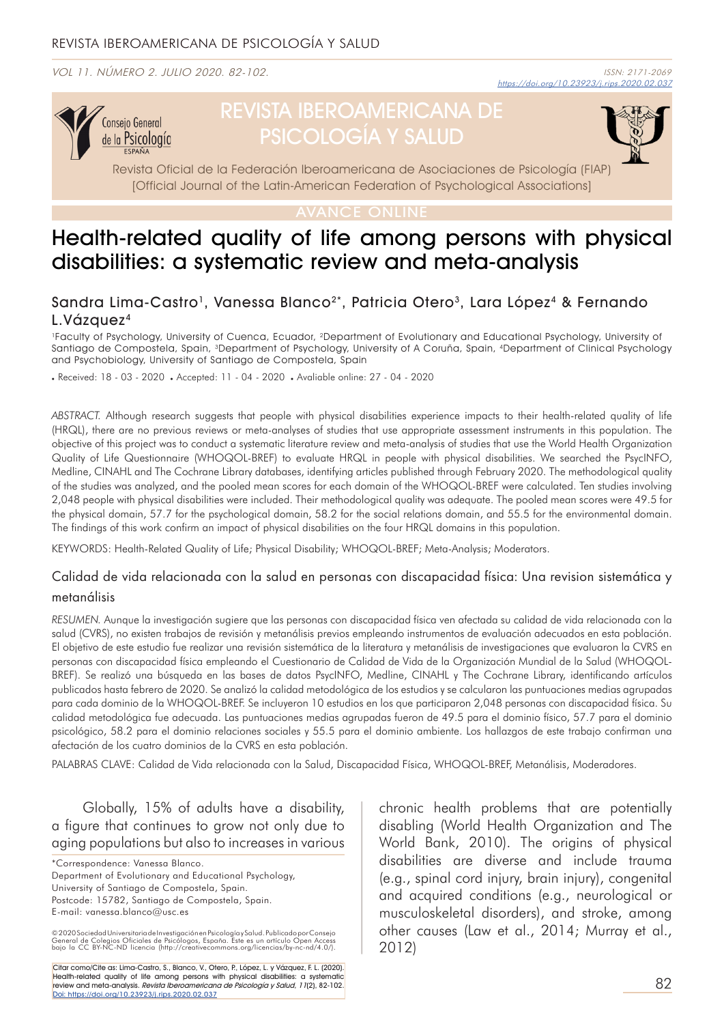VOL 11. NÚMERO 2. JULIO 2020. 82-102.



# REVISTA IBEROAMERICANA DE PSICOLOGÍA Y SALUD

Revista Oficial de la Federación Iberoamericana de Asociaciones de Psicología (FIAP) [Official Journal of the Latin-American Federation of Psychological Associations]

## Health-related quality of life among persons with physical disabilities: a systematic review and meta-analysis

## Sandra Lima-Castro<sup>1</sup>, Vanessa Blanco<sup>2\*</sup>, Patricia Otero<sup>3</sup>, Lara López<sup>4</sup> & Fernando L.Vázquez4

1Faculty of Psychology, University of Cuenca, Ecuador, 2Department of Evolutionary and Educational Psychology, University of Santiago de Compostela, Spain, <sup>3</sup>Department of Psychology, University of A Coruña, Spain, <sup>4</sup>Department of Clinical Psychology and Psychobiology, University of Santiago de Compostela, Spain

. Received: 18 - 03 - 2020 . Accepted: 11 - 04 - 2020 . Avaliable online: 27 - 04 - 2020

*ABSTRACT.* Although research suggests that people with physical disabilities experience impacts to their health-related quality of life (HRQL), there are no previous reviews or meta-analyses of studies that use appropriate assessment instruments in this population. The objective of this project was to conduct a systematic literature review and meta-analysis of studies that use the World Health Organization Quality of Life Questionnaire (WHOQOL-BREF) to evaluate HRQL in people with physical disabilities. We searched the PsycINFO, Medline, CINAHL and The Cochrane Library databases, identifying articles published through February 2020. The methodological quality of the studies was analyzed, and the pooled mean scores for each domain of the WHOQOL-BREF were calculated. Ten studies involving 2,048 people with physical disabilities were included. Their methodological quality was adequate. The pooled mean scores were 49.5 for the physical domain, 57.7 for the psychological domain, 58.2 for the social relations domain, and 55.5 for the environmental domain. The findings of this work confirm an impact of physical disabilities on the four HRQL domains in this population.

KEYWORDS: Health-Related Quality of Life; Physical Disability; WHOQOL-BREF; Meta-Analysis; Moderators.

#### Calidad de vida relacionada con la salud en personas con discapacidad física: Una revision sistemática y metanálisis

*RESUMEN.* Aunque la investigación sugiere que las personas con discapacidad física ven afectada su calidad de vida relacionada con la salud (CVRS), no existen trabajos de revisión y metanálisis previos empleando instrumentos de evaluación adecuados en esta población. El objetivo de este estudio fue realizar una revisión sistemática de la literatura y metanálisis de investigaciones que evaluaron la CVRS en personas con discapacidad física empleando el Cuestionario de Calidad de Vida de la Organización Mundial de la Salud (WHOQOL-BREF). Se realizó una búsqueda en las bases de datos PsycINFO, Medline, CINAHL y The Cochrane Library, identificando artículos publicados hasta febrero de 2020. Se analizó la calidad metodológica de los estudios y se calcularon las puntuaciones medias agrupadas para cada dominio de la WHOQOL-BREF. Se incluyeron 10 estudios en los que participaron 2,048 personas con discapacidad física. Su calidad metodológica fue adecuada. Las puntuaciones medias agrupadas fueron de 49.5 para el dominio físico, 57.7 para el dominio psicológico, 58.2 para el dominio relaciones sociales y 55.5 para el dominio ambiente. Los hallazgos de este trabajo confirman una afectación de los cuatro dominios de la CVRS en esta población.

PALABRAS CLAVE: Calidad de Vida relacionada con la Salud, Discapacidad Física, WHOQOL-BREF, Metanálisis, Moderadores.

Globally, 15% of adults have a disability, a figure that continues to grow not only due to aging populations but also to increases in various

\*Correspondence: Vanessa Blanco.

Department of Evolutionary and Educational Psychology, University of Santiago de Compostela, Spain. Postcode: 15782, Santiago de Compostela, Spain. E-mail: vanessa.blanco@usc.es

© 2020 Sociedad Universitaria de Investigación en Psicología y Salud, Publicado por Consejo<br>General de Colegios Oficiales de Psicólogos, España. Este es un artículo Open Access<br>bajo la CC BY-NC-ND licencia (http://creative

Citar como/Cite as: Lima-Castro, S., Blanco, V., Otero, P., López, L. y Vázquez, F. L. (2020). Health-related quality of life among persons with physical disabilities: a systematic review and meta-analysis. Revista Iberoamericana de Psicología y Salud, 11(2), 82-102. Doi: https://doi.org/10.23923/j.rips.2020.02.037 chronic health problems that are potentially disabling (World Health Organization and The World Bank, 2010). The origins of physical disabilities are diverse and include trauma (e.g., spinal cord injury, brain injury), congenital and acquired conditions (e.g., neurological or musculoskeletal disorders), and stroke, among other causes (Law et al., 2014; Murray et al., 2012)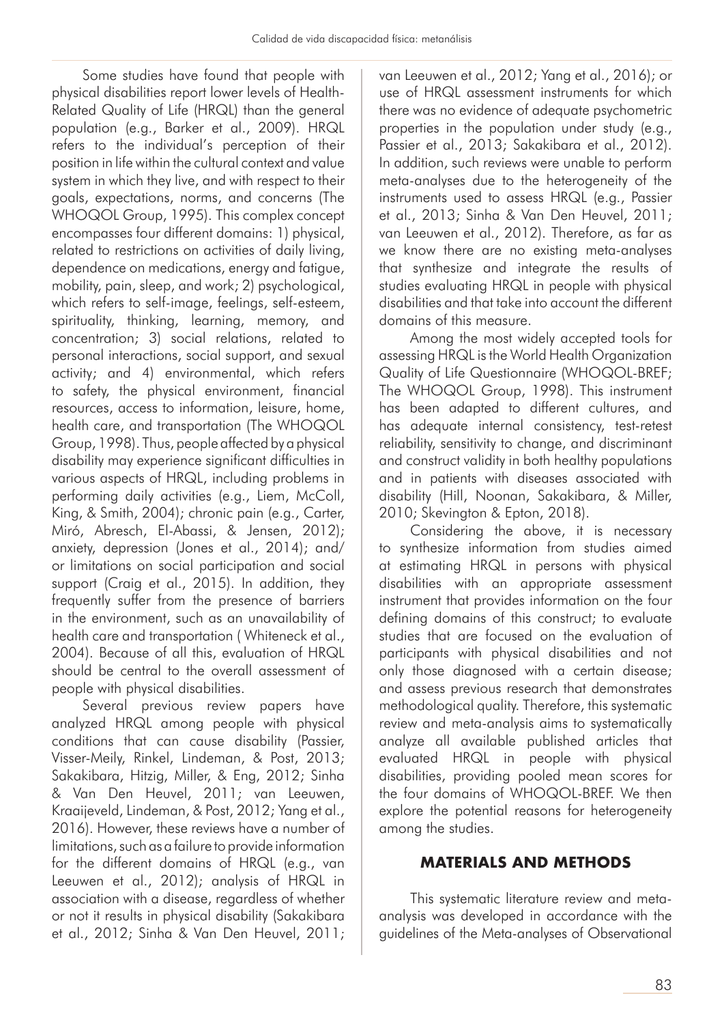Some studies have found that people with physical disabilities report lower levels of Health-Related Quality of Life (HRQL) than the general population (e.g., Barker et al., 2009). HRQL refers to the individual's perception of their position in life within the cultural context and value system in which they live, and with respect to their goals, expectations, norms, and concerns (The WHOQOL Group, 1995). This complex concept encompasses four different domains: 1) physical, related to restrictions on activities of daily living, dependence on medications, energy and fatigue, mobility, pain, sleep, and work; 2) psychological, which refers to self-image, feelings, self-esteem, spirituality, thinking, learning, memory, and concentration; 3) social relations, related to personal interactions, social support, and sexual activity; and 4) environmental, which refers to safety, the physical environment, financial resources, access to information, leisure, home, health care, and transportation (The WHOQOL Group, 1998). Thus, people affected by a physical disability may experience significant difficulties in various aspects of HRQL, including problems in performing daily activities (e.g., Liem, McColl, King, & Smith, 2004); chronic pain (e.g., Carter, Miró, Abresch, El-Abassi, & Jensen, 2012); anxiety, depression (Jones et al., 2014); and/ or limitations on social participation and social support (Craig et al., 2015). In addition, they frequently suffer from the presence of barriers in the environment, such as an unavailability of health care and transportation ( Whiteneck et al., 2004). Because of all this, evaluation of HRQL should be central to the overall assessment of people with physical disabilities.

Several previous review papers have analyzed HRQL among people with physical conditions that can cause disability (Passier, Visser-Meily, Rinkel, Lindeman, & Post, 2013; Sakakibara, Hitzig, Miller, & Eng, 2012; Sinha & Van Den Heuvel, 2011; van Leeuwen, Kraaijeveld, Lindeman, & Post, 2012; Yang et al., 2016). However, these reviews have a number of limitations, such as a failure to provide information for the different domains of HRQL (e.g., van Leeuwen et al., 2012); analysis of HRQL in association with a disease, regardless of whether or not it results in physical disability (Sakakibara et al., 2012; Sinha & Van Den Heuvel, 2011;

van Leeuwen et al., 2012; Yang et al., 2016); or use of HRQL assessment instruments for which there was no evidence of adequate psychometric properties in the population under study (e.g., Passier et al., 2013; Sakakibara et al., 2012). In addition, such reviews were unable to perform meta-analyses due to the heterogeneity of the instruments used to assess HRQL (e.g., Passier et al., 2013; Sinha & Van Den Heuvel, 2011; van Leeuwen et al., 2012). Therefore, as far as we know there are no existing meta-analyses that synthesize and integrate the results of studies evaluating HRQL in people with physical disabilities and that take into account the different domains of this measure.

Among the most widely accepted tools for assessing HRQL is the World Health Organization Quality of Life Questionnaire (WHOQOL-BREF; The WHOQOL Group, 1998). This instrument has been adapted to different cultures, and has adequate internal consistency, test-retest reliability, sensitivity to change, and discriminant and construct validity in both healthy populations and in patients with diseases associated with disability (Hill, Noonan, Sakakibara, & Miller, 2010; Skevington & Epton, 2018).

Considering the above, it is necessary to synthesize information from studies aimed at estimating HRQL in persons with physical disabilities with an appropriate assessment instrument that provides information on the four defining domains of this construct; to evaluate studies that are focused on the evaluation of participants with physical disabilities and not only those diagnosed with a certain disease; and assess previous research that demonstrates methodological quality. Therefore, this systematic review and meta-analysis aims to systematically analyze all available published articles that evaluated HRQL in people with physical disabilities, providing pooled mean scores for the four domains of WHOQOL-BREF. We then explore the potential reasons for heterogeneity among the studies.

## **MATERIALS AND METHODS**

This systematic literature review and metaanalysis was developed in accordance with the guidelines of the Meta-analyses of Observational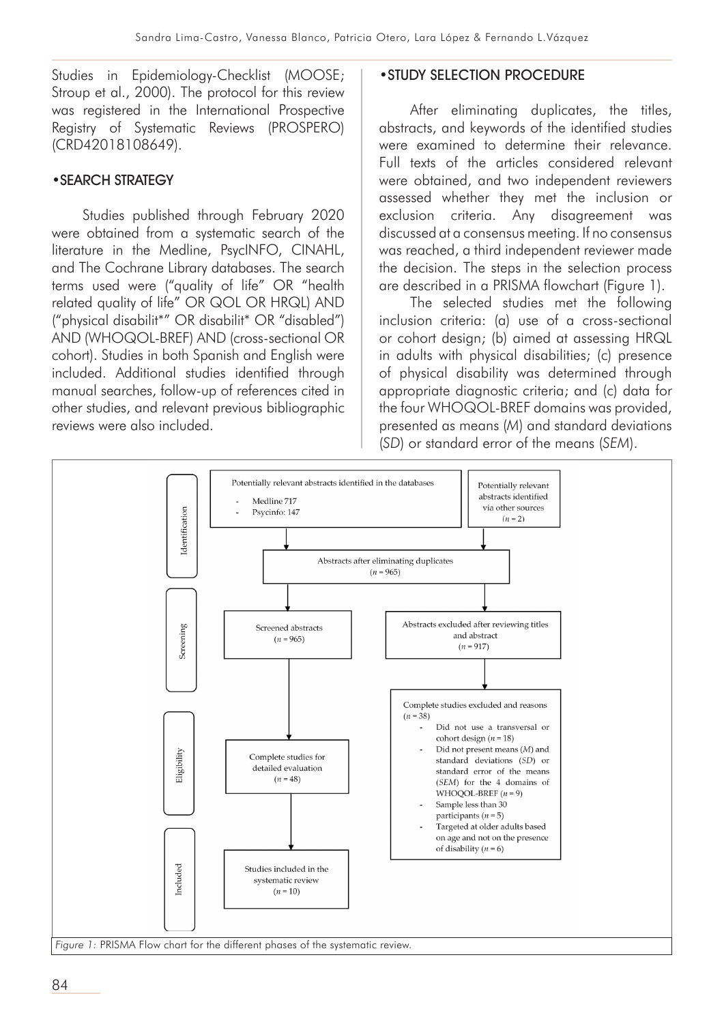Studies in Epidemiology-Checklist (MOOSE; Stroup et al., 2000). The protocol for this review was registered in the International Prospective Registry of Systematic Reviews (PROSPERO) (CRD42018108649).

## •SEARCH STRATEGY

Studies published through February 2020 were obtained from a systematic search of the literature in the Medline, PsycINFO, CINAHL, and The Cochrane Library databases. The search terms used were ("quality of life" OR "health related quality of life" OR QOL OR HRQL) AND ("physical disabilit\*" OR disabilit\* OR "disabled") AND (WHOQOL-BREF) AND (cross-sectional OR cohort). Studies in both Spanish and English were included. Additional studies identified through manual searches, follow-up of references cited in other studies, and relevant previous bibliographic reviews were also included.

#### •STUDY SELECTION PROCEDURE

After eliminating duplicates, the titles, abstracts, and keywords of the identified studies were examined to determine their relevance. Full texts of the articles considered relevant were obtained, and two independent reviewers assessed whether they met the inclusion or exclusion criteria. Any disagreement was discussed at a consensus meeting. If no consensus was reached, a third independent reviewer made the decision. The steps in the selection process are described in a PRISMA flowchart (Figure 1).

The selected studies met the following inclusion criteria: (a) use of a cross-sectional or cohort design; (b) aimed at assessing HRQL in adults with physical disabilities; (c) presence of physical disability was determined through appropriate diagnostic criteria; and (c) data for the four WHOQOL-BREF domains was provided, presented as means (*M*) and standard deviations (*SD*) or standard error of the means (*SEM*).

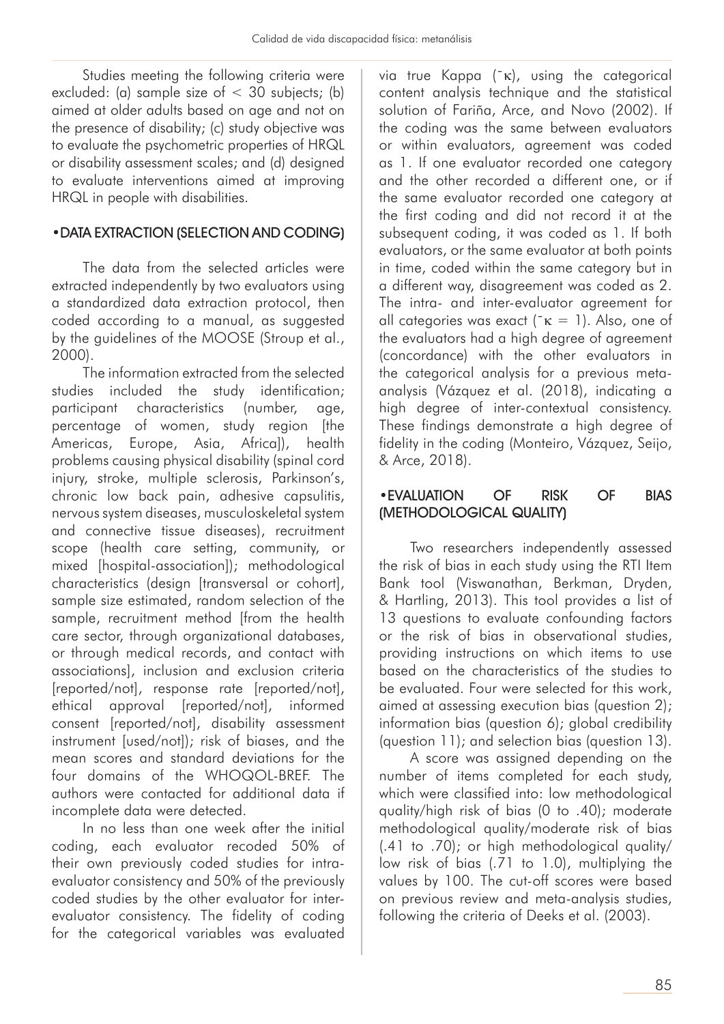Studies meeting the following criteria were excluded: (a) sample size of  $<$  30 subjects; (b) aimed at older adults based on age and not on the presence of disability; (c) study objective was to evaluate the psychometric properties of HRQL or disability assessment scales; and (d) designed to evaluate interventions aimed at improving HRQL in people with disabilities.

#### •DATA EXTRACTION (SELECTION AND CODING)

The data from the selected articles were extracted independently by two evaluators using a standardized data extraction protocol, then coded according to a manual, as suggested by the guidelines of the MOOSE (Stroup et al., 2000).

The information extracted from the selected studies included the study identification; participant characteristics (number, age, percentage of women, study region [the Americas, Europe, Asia, Africa]), health problems causing physical disability (spinal cord injury, stroke, multiple sclerosis, Parkinson's, chronic low back pain, adhesive capsulitis, nervous system diseases, musculoskeletal system and connective tissue diseases), recruitment scope (health care setting, community, or mixed [hospital-association]); methodological characteristics (design [transversal or cohort], sample size estimated, random selection of the sample, recruitment method [from the health care sector, through organizational databases, or through medical records, and contact with associations], inclusion and exclusion criteria [reported/not], response rate [reported/not], ethical approval [reported/not], informed consent [reported/not], disability assessment instrument [used/not]); risk of biases, and the mean scores and standard deviations for the four domains of the WHOQOL-BREF. The authors were contacted for additional data if incomplete data were detected.

In no less than one week after the initial coding, each evaluator recoded 50% of their own previously coded studies for intraevaluator consistency and 50% of the previously coded studies by the other evaluator for interevaluator consistency. The fidelity of coding for the categorical variables was evaluated

via true Kappa (¯κ), using the categorical content analysis technique and the statistical solution of Fariña, Arce, and Novo (2002). If the coding was the same between evaluators or within evaluators, agreement was coded as 1. If one evaluator recorded one category and the other recorded a different one, or if the same evaluator recorded one category at the first coding and did not record it at the subsequent coding, it was coded as 1. If both evaluators, or the same evaluator at both points in time, coded within the same category but in a different way, disagreement was coded as 2. The intra- and inter-evaluator agreement for all categories was exact ( $\kappa = 1$ ). Also, one of the evaluators had a high degree of agreement (concordance) with the other evaluators in the categorical analysis for a previous metaanalysis (Vázquez et al. (2018), indicating a high degree of inter-contextual consistency. These findings demonstrate a high degree of fidelity in the coding (Monteiro, Vázquez, Seijo, & Arce, 2018).

## •EVALUATION OF RISK OF BIAS (METHODOLOGICAL QUALITY)

Two researchers independently assessed the risk of bias in each study using the RTI Item Bank tool (Viswanathan, Berkman, Dryden, & Hartling, 2013). This tool provides a list of 13 questions to evaluate confounding factors or the risk of bias in observational studies, providing instructions on which items to use based on the characteristics of the studies to be evaluated. Four were selected for this work, aimed at assessing execution bias (question 2); information bias (question 6); global credibility (question 11); and selection bias (question 13).

A score was assigned depending on the number of items completed for each study, which were classified into: low methodological quality/high risk of bias (0 to .40); moderate methodological quality/moderate risk of bias (.41 to .70); or high methodological quality/ low risk of bias (.71 to 1.0), multiplying the values by 100. The cut-off scores were based on previous review and meta-analysis studies, following the criteria of Deeks et al. (2003).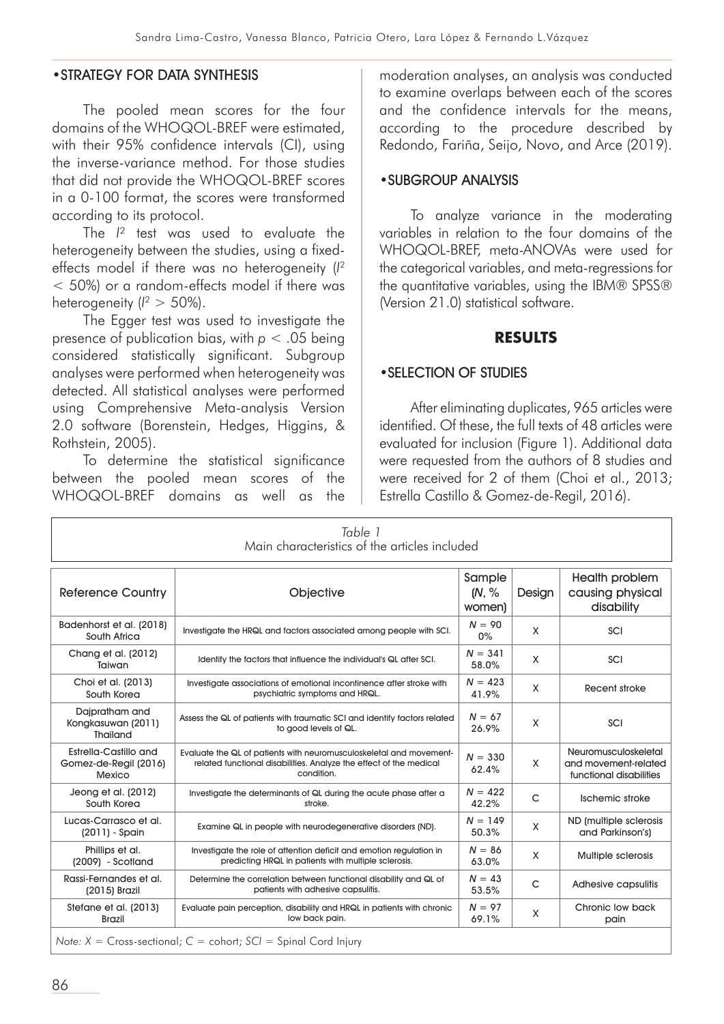#### •STRATEGY FOR DATA SYNTHESIS

The pooled mean scores for the four domains of the WHOQOL-BREF were estimated, with their 95% confidence intervals (CI), using the inverse-variance method. For those studies that did not provide the WHOQOL-BREF scores in a 0-100 format, the scores were transformed according to its protocol.

The  $I^2$  test was used to evaluate the heterogeneity between the studies, using a fixedeffects model if there was no heterogeneity (*I* 2 < 50%) or a random-effects model if there was heterogeneity ( $l^2 > 50\%$ ).

The Egger test was used to investigate the presence of publication bias, with *p* < .05 being considered statistically significant. Subgroup analyses were performed when heterogeneity was detected. All statistical analyses were performed using Comprehensive Meta-analysis Version 2.0 software (Borenstein, Hedges, Higgins, & Rothstein, 2005).

To determine the statistical significance between the pooled mean scores of the WHOQOL-BREF domains as well as the

moderation analyses, an analysis was conducted to examine overlaps between each of the scores and the confidence intervals for the means, according to the procedure described by Redondo, Fariña, Seijo, Novo, and Arce (2019).

#### •SUBGROUP ANALYSIS

To analyze variance in the moderating variables in relation to the four domains of the WHOQOL-BREF, meta-ANOVAs were used for the categorical variables, and meta-regressions for the quantitative variables, using the IBM® SPSS® (Version 21.0) statistical software.

#### **RESULTS**

#### •SELECTION OF STUDIES

After eliminating duplicates, 965 articles were identified. Of these, the full texts of 48 articles were evaluated for inclusion (Figure 1). Additional data were requested from the authors of 8 studies and were received for 2 of them (Choi et al., 2013; Estrella Castillo & Gomez-de-Regil, 2016).

| Table 1<br>Main characteristics of the articles included |                                                                                                                                                         |                           |        |                                                                         |  |  |
|----------------------------------------------------------|---------------------------------------------------------------------------------------------------------------------------------------------------------|---------------------------|--------|-------------------------------------------------------------------------|--|--|
| <b>Reference Country</b>                                 | Objective                                                                                                                                               | Sample<br>(N, %<br>women) | Design | Health problem<br>causing physical<br>disability                        |  |  |
| Badenhorst et al. (2018)<br>South Africa                 | Investigate the HRQL and factors associated among people with SCI.                                                                                      | $N = 90$<br>0%            | X      | SCI                                                                     |  |  |
| Chang et al. (2012)<br>Taiwan                            | Identify the factors that influence the individual's QL after SCI.                                                                                      | $N = 341$<br>58.0%        | X      | SCI                                                                     |  |  |
| Choi et al. (2013)<br>South Korea                        | Investigate associations of emotional incontinence after stroke with<br>psychiatric symptoms and HRQL.                                                  | $N = 423$<br>41.9%        | X      | Recent stroke                                                           |  |  |
| Dajpratham and<br>Kongkasuwan (2011)<br>Thailand         | Assess the QL of patients with traumatic SCI and identify factors related<br>to good levels of QL.                                                      | $N = 67$<br>26.9%         | X      | SCI                                                                     |  |  |
| Estrella-Castillo and<br>Gomez-de-Regil (2016)<br>Mexico | Evaluate the QL of patients with neuromusculoskeletal and movement-<br>related functional disabilities. Analyze the effect of the medical<br>condition. | $N = 330$<br>62.4%        | X      | Neuromusculoskeletal<br>and movement-related<br>functional disabilities |  |  |
| Jeong et al. (2012)<br>South Korea                       | Investigate the determinants of QL during the acute phase after a<br>stroke.                                                                            | $N = 422$<br>42.2%        | C      | Ischemic stroke                                                         |  |  |
| Lucas-Carrasco et al.<br>$(2011)$ - Spain                | Examine QL in people with neurodegenerative disorders (ND).                                                                                             | $N = 149$<br>50.3%        | X      | ND (multiple sclerosis<br>and Parkinson's)                              |  |  |
| Phillips et al.<br>$(2009)$ - Scotland                   | Investigate the role of attention deficit and emotion regulation in<br>predicting HRQL in patients with multiple sclerosis.                             | $N = 86$<br>63.0%         | X      | Multiple sclerosis                                                      |  |  |
| Rassi-Fernandes et al.<br>(2015) Brazil                  | Determine the correlation between functional disability and QL of<br>patients with adhesive capsulitis.                                                 | $N = 43$<br>53.5%         | C      | Adhesive capsulitis                                                     |  |  |
| Stefane et al. (2013)<br><b>Brazil</b>                   | Evaluate pain perception, disability and HRQL in patients with chronic<br>low back pain.                                                                | $N = 97$<br>69.1%         | X      | Chronic low back<br>pain                                                |  |  |
|                                                          | Note: $X = Cross-sectional; C = cohort; SC = Spinal Cord Injury$                                                                                        |                           |        |                                                                         |  |  |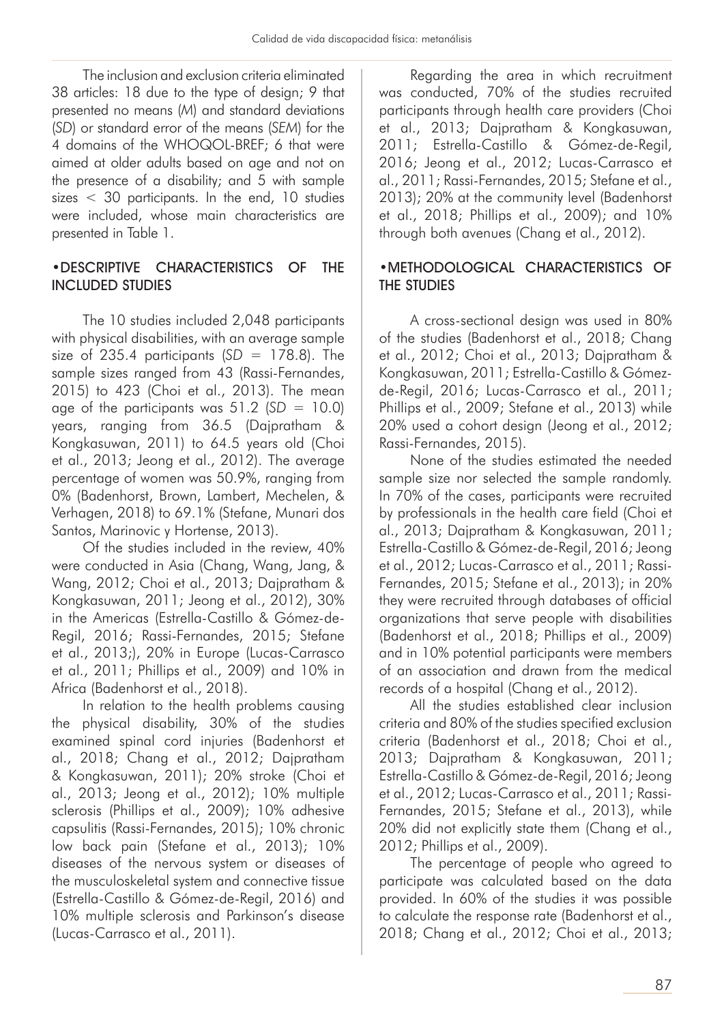The inclusion and exclusion criteria eliminated 38 articles: 18 due to the type of design; 9 that presented no means (*M*) and standard deviations (*SD*) or standard error of the means (*SEM*) for the 4 domains of the WHOQOL-BREF; 6 that were aimed at older adults based on age and not on the presence of a disability; and 5 with sample sizes < 30 participants. In the end, 10 studies were included, whose main characteristics are presented in Table 1.

## •DESCRIPTIVE CHARACTERISTICS OF THE INCLUDED STUDIES

The 10 studies included 2,048 participants with physical disabilities, with an average sample size of  $235.4$  participants  $(SD = 178.8)$ . The sample sizes ranged from 43 (Rassi-Fernandes, 2015) to 423 (Choi et al., 2013). The mean age of the participants was  $51.2$  ( $SD = 10.0$ ) years, ranging from 36.5 (Dajpratham & Kongkasuwan, 2011) to 64.5 years old (Choi et al., 2013; Jeong et al., 2012). The average percentage of women was 50.9%, ranging from 0% (Badenhorst, Brown, Lambert, Mechelen, & Verhagen, 2018) to 69.1% (Stefane, Munari dos Santos, Marinovic y Hortense, 2013).

Of the studies included in the review, 40% were conducted in Asia (Chang, Wang, Jang, & Wang, 2012; Choi et al., 2013; Dajpratham & Kongkasuwan, 2011; Jeong et al., 2012), 30% in the Americas (Estrella-Castillo & Gómez-de-Regil, 2016; Rassi-Fernandes, 2015; Stefane et al., 2013;), 20% in Europe (Lucas-Carrasco et al., 2011; Phillips et al., 2009) and 10% in Africa (Badenhorst et al., 2018).

In relation to the health problems causing the physical disability, 30% of the studies examined spinal cord injuries (Badenhorst et al., 2018; Chang et al., 2012; Dajpratham & Kongkasuwan, 2011); 20% stroke (Choi et al., 2013; Jeong et al., 2012); 10% multiple sclerosis (Phillips et al., 2009); 10% adhesive capsulitis (Rassi-Fernandes, 2015); 10% chronic low back pain (Stefane et al., 2013); 10% diseases of the nervous system or diseases of the musculoskeletal system and connective tissue (Estrella-Castillo & Gómez-de-Regil, 2016) and 10% multiple sclerosis and Parkinson's disease (Lucas-Carrasco et al., 2011).

Regarding the area in which recruitment was conducted, 70% of the studies recruited participants through health care providers (Choi et al., 2013; Dajpratham & Kongkasuwan, 2011; Estrella-Castillo & Gómez-de-Regil, 2016; Jeong et al., 2012; Lucas-Carrasco et al., 2011; Rassi-Fernandes, 2015; Stefane et al., 2013); 20% at the community level (Badenhorst et al., 2018; Phillips et al., 2009); and 10% through both avenues (Chang et al., 2012).

## •METHODOLOGICAL CHARACTERISTICS OF THE STUDIES

A cross-sectional design was used in 80% of the studies (Badenhorst et al., 2018; Chang et al., 2012; Choi et al., 2013; Dajpratham & Kongkasuwan, 2011; Estrella-Castillo & Gómezde-Regil, 2016; Lucas-Carrasco et al., 2011; Phillips et al., 2009; Stefane et al., 2013) while 20% used a cohort design (Jeong et al., 2012; Rassi-Fernandes, 2015).

None of the studies estimated the needed sample size nor selected the sample randomly. In 70% of the cases, participants were recruited by professionals in the health care field (Choi et al., 2013; Dajpratham & Kongkasuwan, 2011; Estrella-Castillo & Gómez-de-Regil, 2016; Jeong et al., 2012; Lucas-Carrasco et al., 2011; Rassi-Fernandes, 2015; Stefane et al., 2013); in 20% they were recruited through databases of official organizations that serve people with disabilities (Badenhorst et al., 2018; Phillips et al., 2009) and in 10% potential participants were members of an association and drawn from the medical records of a hospital (Chang et al., 2012).

All the studies established clear inclusion criteria and 80% of the studies specified exclusion criteria (Badenhorst et al., 2018; Choi et al., 2013; Dajpratham & Kongkasuwan, 2011; Estrella-Castillo & Gómez-de-Regil, 2016; Jeong et al., 2012; Lucas-Carrasco et al., 2011; Rassi-Fernandes, 2015; Stefane et al., 2013), while 20% did not explicitly state them (Chang et al., 2012; Phillips et al., 2009).

The percentage of people who agreed to participate was calculated based on the data provided. In 60% of the studies it was possible to calculate the response rate (Badenhorst et al., 2018; Chang et al., 2012; Choi et al., 2013;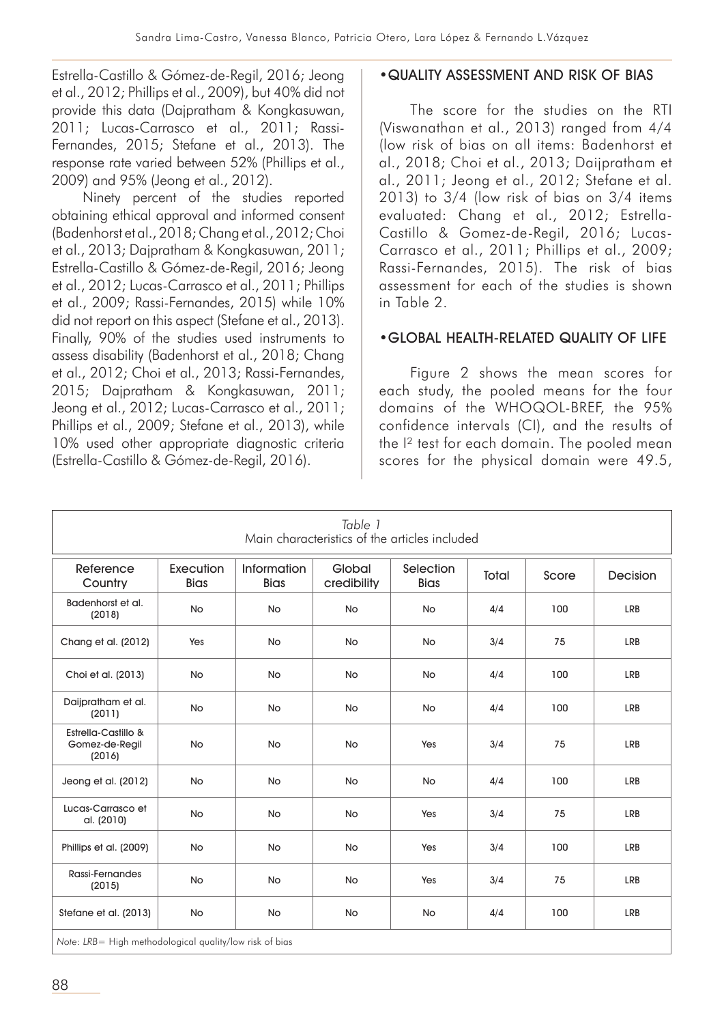Estrella-Castillo & Gómez-de-Regil, 2016; Jeong et al., 2012; Phillips et al., 2009), but 40% did not provide this data (Dajpratham & Kongkasuwan, 2011; Lucas-Carrasco et al., 2011; Rassi-Fernandes, 2015; Stefane et al., 2013). The response rate varied between 52% (Phillips et al., 2009) and 95% (Jeong et al., 2012).

Ninety percent of the studies reported obtaining ethical approval and informed consent (Badenhorst et al., 2018; Chang et al., 2012; Choi et al., 2013; Dajpratham & Kongkasuwan, 2011; Estrella-Castillo & Gómez-de-Regil, 2016; Jeong et al., 2012; Lucas-Carrasco et al., 2011; Phillips et al., 2009; Rassi-Fernandes, 2015) while 10% did not report on this aspect (Stefane et al., 2013). Finally, 90% of the studies used instruments to assess disability (Badenhorst et al., 2018; Chang et al., 2012; Choi et al., 2013; Rassi-Fernandes, 2015; Dajpratham & Kongkasuwan, 2011; Jeong et al., 2012; Lucas-Carrasco et al., 2011; Phillips et al., 2009; Stefane et al., 2013), while 10% used other appropriate diagnostic criteria (Estrella-Castillo & Gómez-de-Regil, 2016).

#### •QUALITY ASSESSMENT AND RISK OF BIAS

The score for the studies on the RTI (Viswanathan et al., 2013) ranged from 4/4 (low risk of bias on all items: Badenhorst et al., 2018; Choi et al., 2013; Daijpratham et al., 2011; Jeong et al., 2012; Stefane et al. 2013) to 3/4 (low risk of bias on 3/4 items evaluated: Chang et al., 2012; Estrella-Castillo & Gomez-de-Regil, 2016; Lucas-Carrasco et al., 2011; Phillips et al., 2009; Rassi-Fernandes, 2015). The risk of bias assessment for each of the studies is shown in Table 2.

## •GLOBAL HEALTH-RELATED QUALITY OF LIFE

Figure 2 shows the mean scores for each study, the pooled means for the four domains of the WHOQOL-BREF, the 95% confidence intervals (CI), and the results of the I² test for each domain. The pooled mean scores for the physical domain were 49.5,

| Table 1<br>Main characteristics of the articles included    |                          |                            |                       |                          |       |       |                 |  |
|-------------------------------------------------------------|--------------------------|----------------------------|-----------------------|--------------------------|-------|-------|-----------------|--|
| Reference<br>Country                                        | Execution<br><b>Bias</b> | Information<br><b>Bias</b> | Global<br>credibility | Selection<br><b>Bias</b> | Total | Score | <b>Decision</b> |  |
| Badenhorst et al.<br>(2018)                                 | <b>No</b>                | <b>No</b>                  | <b>No</b>             | <b>No</b>                | 4/4   | 100   | LRB             |  |
| Chang et al. (2012)                                         | Yes                      | <b>No</b>                  | <b>No</b>             | <b>No</b>                | 3/4   | 75    | LRB             |  |
| Choi et al. (2013)                                          | <b>No</b>                | <b>No</b>                  | <b>No</b>             | <b>No</b>                | 4/4   | 100   | LRB             |  |
| Daijpratham et al.<br>(2011)                                | <b>No</b>                | <b>No</b>                  | <b>No</b>             | <b>No</b>                | 4/4   | 100   | LRB             |  |
| <b>Estrella-Castillo &amp;</b><br>Gomez-de-Regil<br>(2016)  | <b>No</b>                | <b>No</b>                  | <b>No</b>             | Yes                      | 3/4   | 75    | LRB             |  |
| Jeong et al. (2012)                                         | <b>No</b>                | <b>No</b>                  | <b>No</b>             | <b>No</b>                | 4/4   | 100   | LRB             |  |
| Lucas-Carrasco et<br>al. (2010)                             | <b>No</b>                | <b>No</b>                  | No                    | Yes                      | 3/4   | 75    | LRB             |  |
| Phillips et al. (2009)                                      | <b>No</b>                | <b>No</b>                  | <b>No</b>             | Yes                      | 3/4   | 100   | LRB             |  |
| Rassi-Fernandes<br>(2015)                                   | <b>No</b>                | <b>No</b>                  | <b>No</b>             | Yes                      | 3/4   | 75    | LRB             |  |
| Stefane et al. (2013)                                       | <b>No</b>                | <b>No</b>                  | <b>No</b>             | <b>No</b>                | 4/4   | 100   | LRB             |  |
| Nata: IDD - High mathagla lanigal quality/law sial, af biga |                          |                            |                       |                          |       |       |                 |  |

*Note*: *LRB*= High methodological quality/low risk of bias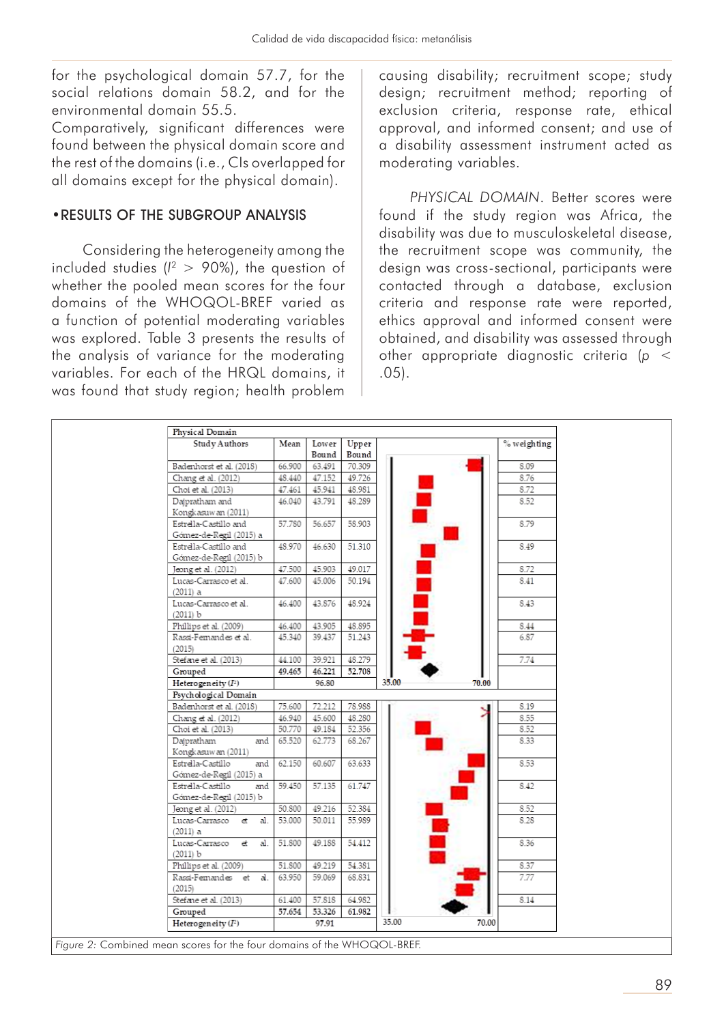for the psychological domain 57.7, for the social relations domain 58.2, and for the environmental domain 55.5.

Comparatively, significant differences were found between the physical domain score and the rest of the domains (i.e., CIs overlapped for all domains except for the physical domain).

## •RESULTS OF THE SUBGROUP ANALYSIS

Considering the heterogeneity among the included studies ( $l^2$  > 90%), the question of whether the pooled mean scores for the four domains of the WHOQOL-BREF varied as a function of potential moderating variables was explored. Table 3 presents the results of the analysis of variance for the moderating variables. For each of the HRQL domains, it was found that study region; health problem

causing disability; recruitment scope; study design; recruitment method; reporting of exclusion criteria, response rate, ethical approval, and informed consent; and use of a disability assessment instrument acted as moderating variables.

*PHYSICAL DOMAIN*. Better scores were found if the study region was Africa, the disability was due to musculoskeletal disease, the recruitment scope was community, the design was cross-sectional, participants were contacted through a database, exclusion criteria and response rate were reported, ethics approval and informed consent were obtained, and disability was assessed through other appropriate diagnostic criteria (*p* < .05).

| Physical Domain<br>Study Authors       | Mean   | Lower  | Upper  |                | % weighting |
|----------------------------------------|--------|--------|--------|----------------|-------------|
|                                        |        | Bound  | Bound  |                |             |
| Badenhorst et al. (2018)               | 66.900 | 63.491 | 70.309 |                | 8.09        |
| Chang et al. (2012)                    | 48.440 | 47.152 | 49.726 |                | 8.76        |
| Choi et al. (2013)                     | 47.461 | 45.941 | 48.981 |                | 8.72        |
| Dajpratham and                         | 46.040 | 43.791 | 48.289 |                | 8.52        |
| Kongkasuwan (2011)                     |        |        |        |                |             |
| Estrella-Castillo and                  | 57.780 | 56.657 | 58.903 |                | 8.79        |
| Gómez-de-Regil (2015) a                |        |        |        |                |             |
| Estrella-Castillo and                  | 48.970 | 46.630 | 51.310 |                | 8.49        |
| Gómez-de-Regil (2015) b                |        |        |        |                |             |
| Jeong et al. (2012)                    | 47.500 | 45.903 | 49.017 |                | 8.72        |
| Lucas-Carrasco et al.                  | 47.600 | 45.006 | 50.194 |                | 8.41        |
| $(2011)$ a                             |        |        |        |                |             |
| Lucas-Carrasco et al.                  | 46.400 | 43.876 | 48.924 |                | 8.43        |
| (2011) b                               |        |        |        |                |             |
| Phillips et al. (2009)                 | 46.400 | 43.905 | 48.895 |                | 8.44        |
| Rassi-Femandes et al.                  | 45.340 | 39.437 | 51.243 |                | 6.87        |
| (2015)<br>Stefane et al. (2013)        | 44.100 | 39.921 | 48.279 |                | 7.74        |
| Grouped                                | 49.465 | 46.221 | 52.708 |                |             |
| Heterogeneity $(I^2)$                  |        | 96.80  |        | 35.00<br>70.00 |             |
| Psychological Domain                   |        |        |        |                |             |
| Badenhorst et al. (2018)               | 75.600 | 72.212 | 78.988 |                | 8.19        |
| Chang et al. (2012)                    | 46.940 | 45.600 | 48.280 |                | 8.55        |
| Choi et al. (2013)                     | 50.770 | 49.184 | 52.356 |                | 8.52        |
| Dajpratham<br>and                      | 65.520 | 62.773 | 68.267 |                | 8.33        |
| Kongkasuwan (2011)                     |        |        |        |                |             |
| Estrella-Castillo<br>and               | 62.150 | 60.607 | 63.633 |                | 8.53        |
| Gómez-de-Regil (2015) a                |        |        |        |                |             |
| Estrella-Castillo<br>and               | 59.450 | 57.135 | 61.747 |                | 8.42        |
| Gómez-de-Regil (2015) b                |        |        |        |                |             |
| Jeong et al. (2012)                    | 50.800 | 49.216 | 52.384 |                | 8.52        |
| Lucas-Carrasco<br>et<br>al.            | 53.000 | 50.011 | 55.989 |                | 8.28        |
| $(2011)$ a                             |        |        |        |                |             |
| Lucas-Carrasco<br>đ<br>al.<br>(2011) b | 51.800 | 49.188 | 54.412 |                | 8.36        |
| Phillips et al. (2009)                 | 51.800 | 49.219 | 54.381 |                | 8.37        |
| Rassi-Femandes et<br>al.               | 63.950 | 59.069 | 68.831 |                | 7.77        |
| (2015)                                 |        |        |        |                |             |
| Stefane et al. (2013)                  | 61.400 | 57.818 | 64.982 |                | 8.14        |
| Grouped                                | 57.654 | 53.326 | 61.982 |                |             |
| Heterogeneity $(I^2)$                  |        | 97.91  |        | 35.00<br>70.00 |             |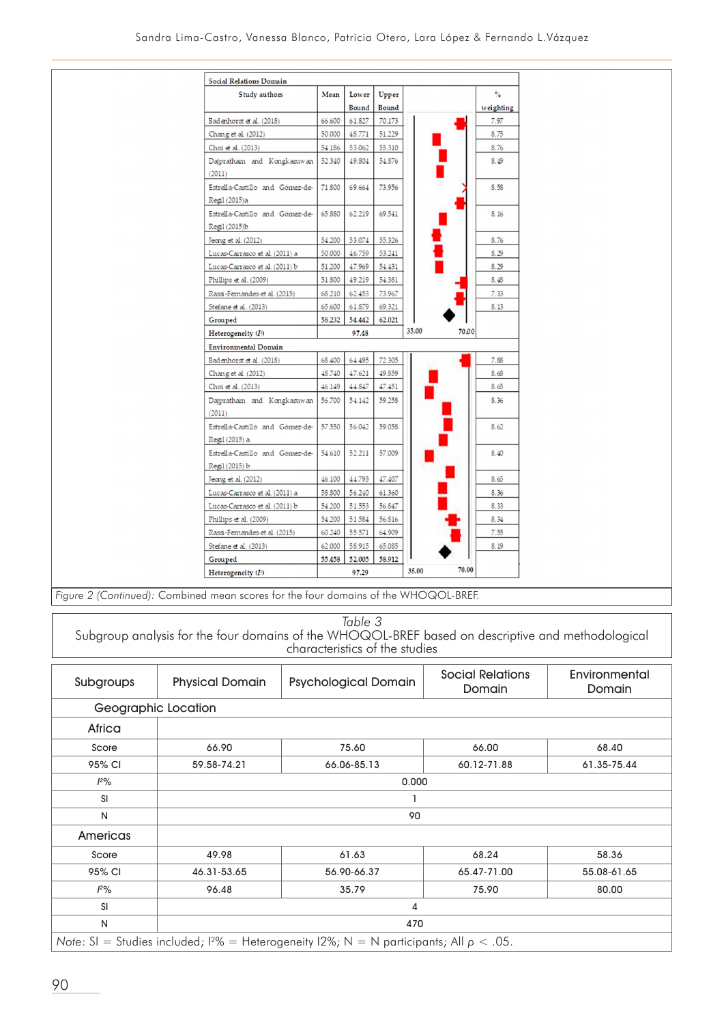| Study authors                                     | Mean   | Lower  | Upper  |                | $\frac{1}{2}$ |
|---------------------------------------------------|--------|--------|--------|----------------|---------------|
|                                                   |        | Bound  | Bound  |                | weighting     |
| Badenhorst et al. (2018)                          | 66.600 | 61.827 | 70.173 |                | 7.97          |
| Chang et al. (2012)                               | 50.000 | 48.771 | 51.229 |                | 8.75          |
| Choi et al. (2013)                                | 54.186 | 53.062 | 55.310 |                | 8.76          |
| Dajpratham and Kongkasuwan<br>(2011)              | 52.340 | 49.804 | 54.876 |                | 8.49          |
| Estrella-Castillo and Gómez-de-<br>Regil (2015) a | 71.800 | 69.664 | 73.956 |                | 8.58          |
| Estrella-Castillo and Gómez-de-<br>Regil (2015)b  | 65.880 | 62.219 | 69.541 |                | 8.16          |
| Jeong et al. (2012)                               | 54.200 | 53.074 | 55.326 |                | 8.76          |
| Lucas-Carrasco et al. (2011) a                    | 50.000 | 46.759 | 53.241 |                | 8.29          |
| Lucas-Carrasco et al. (2011) b                    | 51.200 | 47.969 | 54.431 |                | 8.29          |
| Phillips et al. (2009)                            | 51.800 | 49.219 | 54.381 |                | <b>S.4S</b>   |
| Rassi-Fernandes et al. (2015)                     | 68 210 | 62.453 | 73.967 |                | 7.33          |
| Stefane et al. (2013)                             | 65.600 | 61.879 | 69.321 |                | 8.13          |
| Grouped                                           | 58.232 | 54.442 | 62.021 |                |               |
| Heterogeneity $(I^2)$                             |        | 97.48  |        | 35.00<br>70.00 |               |
| <b>Environmental Domain</b>                       |        |        |        |                |               |
| Badenhorst et al. (2018)                          | 68.400 | 64.495 | 72.305 |                | 7.88          |
| Chang et al. (2012)                               | 48.740 | 47.621 | 49.859 |                | <b>S.68</b>   |
| Choi et al. (2013)                                | 46.149 | 44.847 | 47.451 |                | 8.65          |
| Dajpratham and Kongkasuwan<br>(2011)              | 56.700 | 54.142 | 59.258 |                | 8.36          |
| Estrella-Castillo and Gómez-de-<br>Regil (2015) a | 57.550 | 56.042 | 59.058 |                | 8.62          |
| Estrella-Castillo and Gómez-de-<br>Regil (2015) b | 54.610 | 52.211 | 57.009 |                | 8.40          |
| Jeong et al. (2012)                               | 46.100 | 44.793 | 47.407 |                | 8.65          |
| Lucas-Carrasco et al. (2011) a                    | 58.800 | 56.240 | 61.360 |                | 8.36          |
| Lucas-Carrasco et al. (2011) b                    | 54.200 | 51.553 | 56.847 |                | 8.33          |
| Phillips et al. (2009)                            | 54 200 | 51.584 | 56.816 |                | 8.34          |
| Rassi-Fernandes et al. (2015)                     | 60 240 | 55.571 | 64.909 |                | 7.55          |
| Stefane et al. (2013)                             | 62.000 | 58.915 | 65.085 |                | 8.19          |
|                                                   |        |        |        |                |               |
| Grouped                                           | 55.458 | 52.005 | 58.912 |                |               |

*Figure 2 (Continued):* Combined mean scores for the four domains of the WHOQOL-BREF.

|                     |                        | Table 3<br>Subgroup analysis for the four domains of the WHOQOL-BREF based on descriptive and methodological<br>characteristics of the studies |                                   |                         |  |  |  |
|---------------------|------------------------|------------------------------------------------------------------------------------------------------------------------------------------------|-----------------------------------|-------------------------|--|--|--|
| Subgroups           | <b>Physical Domain</b> | <b>Psychological Domain</b>                                                                                                                    | <b>Social Relations</b><br>Domain | Environmental<br>Domain |  |  |  |
| Geographic Location |                        |                                                                                                                                                |                                   |                         |  |  |  |
| Africa              |                        |                                                                                                                                                |                                   |                         |  |  |  |
| Score               | 66.90                  | 75.60                                                                                                                                          | 66.00                             | 68.40                   |  |  |  |
| 95% CI              | 59.58-74.21            | 66.06-85.13                                                                                                                                    | 60.12-71.88                       | 61.35-75.44             |  |  |  |
| 12%                 |                        | 0.000                                                                                                                                          |                                   |                         |  |  |  |
| <b>SI</b>           |                        |                                                                                                                                                |                                   |                         |  |  |  |
| N                   | 90                     |                                                                                                                                                |                                   |                         |  |  |  |
| Americas            |                        |                                                                                                                                                |                                   |                         |  |  |  |
| Score               | 49.98                  | 61.63                                                                                                                                          | 68.24                             | 58.36                   |  |  |  |
| 95% CI              | 46.31-53.65            | 56.90-66.37                                                                                                                                    | 65.47-71.00                       | 55.08-61.65             |  |  |  |
| $1^{20}$            | 96.48                  | 35.79                                                                                                                                          | 75.90                             | 80.00                   |  |  |  |
| <b>SI</b>           |                        | 4                                                                                                                                              |                                   |                         |  |  |  |
| N                   | 470                    |                                                                                                                                                |                                   |                         |  |  |  |

*Note*: SI = Studies included;  $1\%$  = Heterogeneity  $12\%$ ; N = N participants; All  $p < .05$ .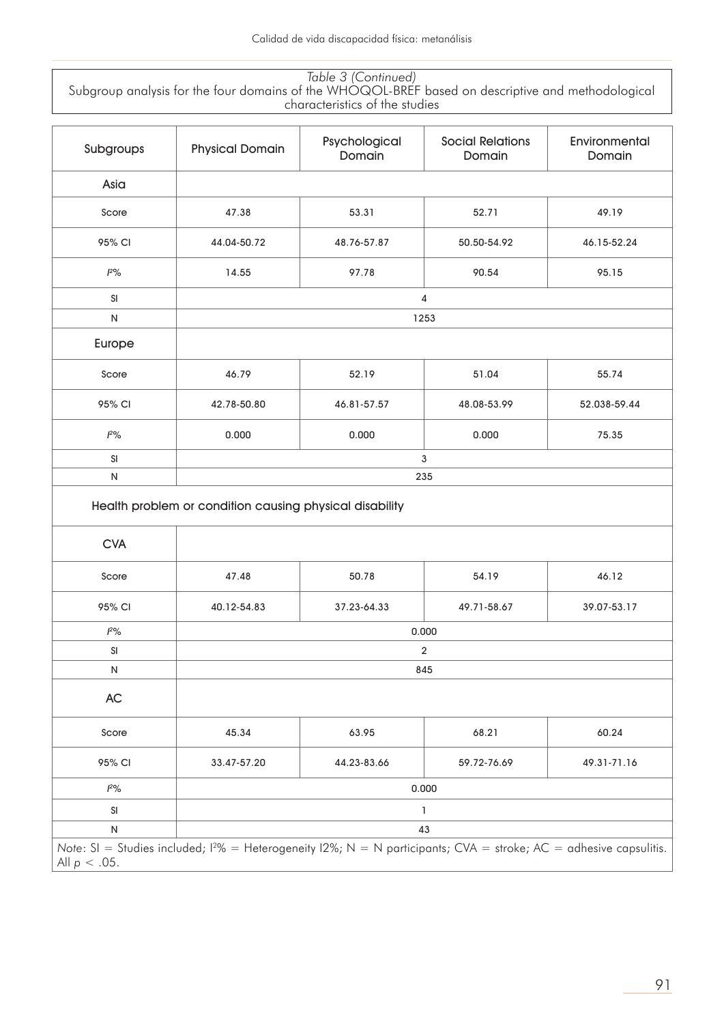*Table 3 (Continued)* Subgroup analysis for the four domains of the WHOQOL-BREF based on descriptive and methodological characteristics of the studies

| Subgroups  | <b>Physical Domain</b>                                  | Psychological<br>Domain | <b>Social Relations</b><br>Domain | Environmental<br>Domain |  |  |  |
|------------|---------------------------------------------------------|-------------------------|-----------------------------------|-------------------------|--|--|--|
| Asia       |                                                         |                         |                                   |                         |  |  |  |
| Score      | 47.38                                                   | 53.31                   | 52.71                             | 49.19                   |  |  |  |
| 95% CI     | 44.04-50.72                                             | 48.76-57.87             | 50.50-54.92                       | 46.15-52.24             |  |  |  |
| $12\%$     | 14.55                                                   | 97.78                   | 90.54                             | 95.15                   |  |  |  |
| SI         |                                                         | 4                       |                                   |                         |  |  |  |
| ${\sf N}$  |                                                         | 1253                    |                                   |                         |  |  |  |
| Europe     |                                                         |                         |                                   |                         |  |  |  |
| Score      | 46.79                                                   | 52.19                   | 51.04                             | 55.74                   |  |  |  |
| 95% CI     | 42.78-50.80                                             | 46.81-57.57             | 48.08-53.99                       | 52.038-59.44            |  |  |  |
| $l^{2}\%$  | 0.000                                                   | 0.000                   | 0.000                             | 75.35                   |  |  |  |
|            | 3                                                       |                         |                                   |                         |  |  |  |
| SI         |                                                         |                         |                                   |                         |  |  |  |
| ${\sf N}$  |                                                         |                         | 235                               |                         |  |  |  |
|            | Health problem or condition causing physical disability |                         |                                   |                         |  |  |  |
| <b>CVA</b> |                                                         |                         |                                   |                         |  |  |  |
| Score      | 47.48                                                   | 50.78                   | 54.19                             | 46.12                   |  |  |  |
| 95% CI     | 40.12-54.83                                             | 37.23-64.33             | 49.71-58.67                       | 39.07-53.17             |  |  |  |
| $12\%$     |                                                         |                         | 0.000                             |                         |  |  |  |
| SI         |                                                         |                         | 2                                 |                         |  |  |  |
| N          |                                                         |                         | 845                               |                         |  |  |  |
| AC         |                                                         |                         |                                   |                         |  |  |  |
| Score      | 45.34                                                   | 63.95                   | 68.21                             | 60.24                   |  |  |  |
| 95% CI     | 33.47-57.20                                             | 44.23-83.66             | 59.72-76.69                       | 49.31-71.16             |  |  |  |
| $l^{2}\%$  |                                                         |                         | 0.000                             |                         |  |  |  |
| SI         |                                                         |                         | 1                                 |                         |  |  |  |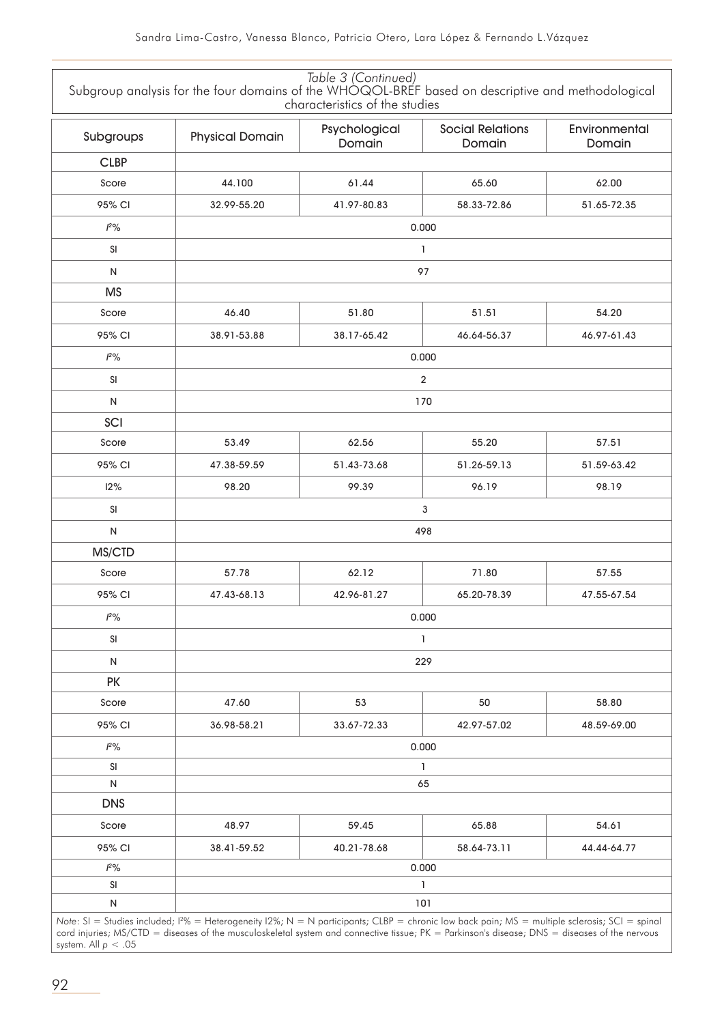|               | Subgroup analysis for the four domains of the WHOQOL-BREF based on descriptive and methodological | Table 3 (Continued)<br>characteristics of the studies |                                   |                         |  |  |  |
|---------------|---------------------------------------------------------------------------------------------------|-------------------------------------------------------|-----------------------------------|-------------------------|--|--|--|
| Subgroups     | <b>Physical Domain</b>                                                                            | Psychological<br>Domain                               | <b>Social Relations</b><br>Domain | Environmental<br>Domain |  |  |  |
| <b>CLBP</b>   |                                                                                                   |                                                       |                                   |                         |  |  |  |
| Score         | 44.100                                                                                            | 61.44                                                 | 65.60                             | 62.00                   |  |  |  |
| 95% CI        | 32.99-55.20                                                                                       | 41.97-80.83                                           | 58.33-72.86                       | 51.65-72.35             |  |  |  |
| $1^{20}/6$    |                                                                                                   | 0.000                                                 |                                   |                         |  |  |  |
| SI            |                                                                                                   | $\mathbf{I}$                                          |                                   |                         |  |  |  |
| $\mathsf{N}$  |                                                                                                   |                                                       | 97                                |                         |  |  |  |
| <b>MS</b>     |                                                                                                   |                                                       |                                   |                         |  |  |  |
| Score         | 46.40                                                                                             | 51.80                                                 | 51.51                             | 54.20                   |  |  |  |
| 95% CI        | 38.91-53.88                                                                                       | 38.17-65.42                                           | 46.64-56.37                       | 46.97-61.43             |  |  |  |
| $1^{20}/6$    |                                                                                                   |                                                       | 0.000                             |                         |  |  |  |
| <b>SI</b>     |                                                                                                   |                                                       | $\overline{2}$                    |                         |  |  |  |
| $\mathsf{N}$  |                                                                                                   |                                                       | 170                               |                         |  |  |  |
| SCI           |                                                                                                   |                                                       |                                   |                         |  |  |  |
| Score         | 53.49                                                                                             | 62.56                                                 | 55.20                             | 57.51                   |  |  |  |
| 95% CI        | 47.38-59.59                                                                                       | 51.43-73.68                                           | 51.26-59.13                       | 51.59-63.42             |  |  |  |
| 12%           | 98.20                                                                                             | 99.39                                                 | 96.19                             | 98.19                   |  |  |  |
| SI            |                                                                                                   |                                                       | 3                                 |                         |  |  |  |
| $\mathsf{N}$  |                                                                                                   |                                                       | 498                               |                         |  |  |  |
| MS/CTD        |                                                                                                   |                                                       |                                   |                         |  |  |  |
| Score         | 57.78                                                                                             | 62.12                                                 | 71.80                             | 57.55                   |  |  |  |
| 95% CI        | 47.43-68.13                                                                                       | 42.96-81.27                                           | 65.20-78.39                       | 47.55-67.54             |  |  |  |
| $1^{20}/6$    |                                                                                                   |                                                       | 0.000                             |                         |  |  |  |
| $\mathsf{SI}$ |                                                                                                   |                                                       | $\mathbf{I}$                      |                         |  |  |  |
| N             |                                                                                                   |                                                       | 229                               |                         |  |  |  |
| <b>PK</b>     |                                                                                                   |                                                       |                                   |                         |  |  |  |
| Score         | 47.60                                                                                             | 53                                                    | 50                                | 58.80                   |  |  |  |
| 95% CI        | 36.98-58.21                                                                                       | 33.67-72.33                                           | 42.97-57.02                       | 48.59-69.00             |  |  |  |
| $1^{20}/6$    |                                                                                                   |                                                       | 0.000                             |                         |  |  |  |
| SI            |                                                                                                   |                                                       | 1                                 |                         |  |  |  |
| N             |                                                                                                   |                                                       | 65                                |                         |  |  |  |
| <b>DNS</b>    |                                                                                                   |                                                       |                                   |                         |  |  |  |
| Score         | 48.97                                                                                             | 59.45                                                 | 65.88                             | 54.61                   |  |  |  |
| 95% CI        | 38.41-59.52                                                                                       | 40.21-78.68                                           | 58.64-73.11                       | 44.44-64.77             |  |  |  |
| $l^{2}\%$     |                                                                                                   |                                                       | 0.000                             |                         |  |  |  |
| SI            |                                                                                                   |                                                       | 1                                 |                         |  |  |  |
| ${\sf N}$     | 101                                                                                               |                                                       |                                   |                         |  |  |  |

*Note*: SI = Studies included;  $12\%$  = Heterogeneity  $12\%$ ; N = N participants; CLBP = chronic low back pain; MS = multiple sclerosis; SCI = spinal cord injuries; MS/CTD = diseases of the musculoskeletal system and connective tissue; PK = Parkinson's disease; DNS = diseases of the nervous system. All *p* < .05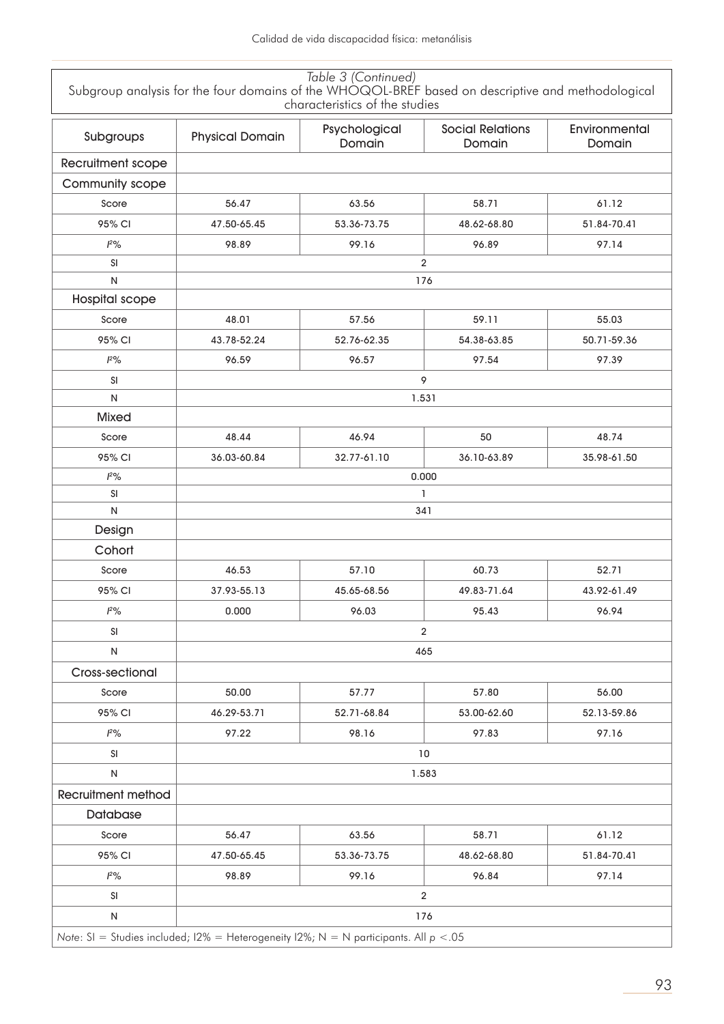|                                                                                          |                        | Table 3 (Continued)<br>characteristics of the studies | Subgroup analysis for the four domains of the WHOQOL-BREF based on descriptive and methodological |                         |
|------------------------------------------------------------------------------------------|------------------------|-------------------------------------------------------|---------------------------------------------------------------------------------------------------|-------------------------|
| Subgroups                                                                                | <b>Physical Domain</b> | Psychological<br>Domain                               | <b>Social Relations</b><br>Domain                                                                 | Environmental<br>Domain |
| Recruitment scope                                                                        |                        |                                                       |                                                                                                   |                         |
| Community scope                                                                          |                        |                                                       |                                                                                                   |                         |
| Score                                                                                    | 56.47                  | 63.56                                                 | 58.71                                                                                             | 61.12                   |
| 95% CI                                                                                   | 47.50-65.45            | 53.36-73.75                                           | 48.62-68.80                                                                                       | 51.84-70.41             |
| 12%                                                                                      | 98.89                  | 99.16                                                 | 96.89                                                                                             | 97.14                   |
| SI                                                                                       |                        |                                                       | $\overline{2}$                                                                                    |                         |
| ${\sf N}$                                                                                |                        |                                                       | 176                                                                                               |                         |
| Hospital scope                                                                           |                        |                                                       |                                                                                                   |                         |
| Score                                                                                    | 48.01                  | 57.56                                                 | 59.11                                                                                             | 55.03                   |
| 95% CI                                                                                   | 43.78-52.24            | 52.76-62.35                                           | 54.38-63.85                                                                                       | 50.71-59.36             |
| 12%                                                                                      | 96.59                  | 96.57                                                 | 97.54                                                                                             | 97.39                   |
| SI                                                                                       |                        |                                                       | 9                                                                                                 |                         |
| N                                                                                        |                        |                                                       | 1.531                                                                                             |                         |
| <b>Mixed</b>                                                                             |                        |                                                       |                                                                                                   |                         |
| Score                                                                                    | 48.44                  | 46.94                                                 | 50                                                                                                | 48.74                   |
| 95% CI                                                                                   | 36.03-60.84            | 32.77-61.10                                           | 36.10-63.89                                                                                       | 35.98-61.50             |
| 12%                                                                                      |                        |                                                       | 0.000                                                                                             |                         |
| SI                                                                                       |                        |                                                       | 1                                                                                                 |                         |
| $\mathsf{N}$                                                                             |                        |                                                       | 341                                                                                               |                         |
| Design                                                                                   |                        |                                                       |                                                                                                   |                         |
| Cohort                                                                                   |                        |                                                       |                                                                                                   |                         |
| Score                                                                                    | 46.53                  | 57.10                                                 | 60.73                                                                                             | 52.71                   |
| 95% CI                                                                                   | 37.93-55.13            | 45.65-68.56                                           | 49.83-71.64                                                                                       | 43.92-61.49             |
| 12%                                                                                      | 0.000                  | 96.03                                                 | 95.43                                                                                             | 96.94                   |
| SI                                                                                       |                        |                                                       | $\overline{2}$                                                                                    |                         |
| ${\sf N}$                                                                                |                        |                                                       | 465                                                                                               |                         |
| Cross-sectional                                                                          |                        |                                                       |                                                                                                   |                         |
| Score                                                                                    | 50.00                  | 57.77                                                 | 57.80                                                                                             | 56.00                   |
| 95% CI                                                                                   | 46.29-53.71            | 52.71-68.84                                           | 53.00-62.60                                                                                       | 52.13-59.86             |
| 12%                                                                                      | 97.22                  | 98.16                                                 | 97.83                                                                                             | 97.16                   |
| SI                                                                                       |                        |                                                       | 10                                                                                                |                         |
| $\mathsf{N}$                                                                             |                        |                                                       | 1.583                                                                                             |                         |
| <b>Recruitment method</b>                                                                |                        |                                                       |                                                                                                   |                         |
| Database                                                                                 |                        |                                                       |                                                                                                   |                         |
| Score                                                                                    | 56.47                  | 63.56                                                 | 58.71                                                                                             | 61.12                   |
| 95% CI                                                                                   | 47.50-65.45            | 53.36-73.75                                           | 48.62-68.80                                                                                       | 51.84-70.41             |
| $1^{2}\%$                                                                                | 98.89                  | 99.16                                                 | 96.84                                                                                             | 97.14                   |
| SI                                                                                       |                        |                                                       | $\overline{\mathbf{c}}$                                                                           |                         |
| ${\sf N}$                                                                                |                        |                                                       | 176                                                                                               |                         |
| Note: SI = Studies included; I2% = Heterogeneity I2%; N = N participants. All $p < 0.05$ |                        |                                                       |                                                                                                   |                         |

*Note*: SI = Studies included; I2% = Heterogeneity I2%; N = N participants. All *p* <.05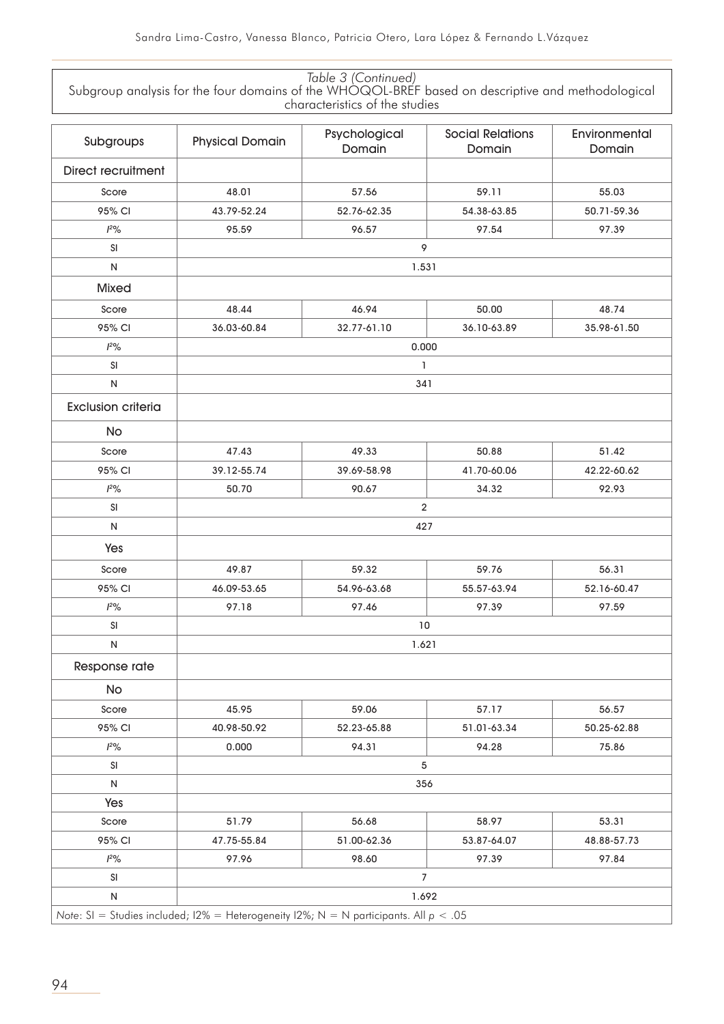| Table 3 (Continued)                                                                               |
|---------------------------------------------------------------------------------------------------|
| Subgroup analysis for the four domains of the WHOQOL-BREF based on descriptive and methodological |
| characteristics of the studies                                                                    |

| Subgroups                 | <b>Physical Domain</b> | Psychological<br>Domain                                                                 | <b>Social Relations</b><br>Domain | Environmental<br>Domain |  |  |  |
|---------------------------|------------------------|-----------------------------------------------------------------------------------------|-----------------------------------|-------------------------|--|--|--|
| <b>Direct recruitment</b> |                        |                                                                                         |                                   |                         |  |  |  |
| Score                     | 48.01                  | 57.56                                                                                   | 59.11                             | 55.03                   |  |  |  |
| 95% CI                    | 43.79-52.24            | 52.76-62.35                                                                             | 54.38-63.85                       | 50.71-59.36             |  |  |  |
| 12%                       | 95.59                  | 96.57                                                                                   | 97.54                             | 97.39                   |  |  |  |
| SI                        |                        | 9                                                                                       |                                   |                         |  |  |  |
| ${\sf N}$                 |                        | 1.531                                                                                   |                                   |                         |  |  |  |
| <b>Mixed</b>              |                        |                                                                                         |                                   |                         |  |  |  |
| Score                     | 48.44                  | 46.94                                                                                   | 50.00                             | 48.74                   |  |  |  |
| 95% CI                    | 36.03-60.84            | 32.77-61.10                                                                             | 36.10-63.89                       | 35.98-61.50             |  |  |  |
| $12\%$                    |                        | 0.000                                                                                   |                                   |                         |  |  |  |
| SI                        |                        | 1                                                                                       |                                   |                         |  |  |  |
| ${\sf N}$                 |                        | 341                                                                                     |                                   |                         |  |  |  |
| <b>Exclusion criteria</b> |                        |                                                                                         |                                   |                         |  |  |  |
| No                        |                        |                                                                                         |                                   |                         |  |  |  |
| Score                     | 47.43                  | 49.33                                                                                   | 50.88                             | 51.42                   |  |  |  |
| 95% CI                    | 39.12-55.74            | 39.69-58.98                                                                             | 41.70-60.06                       | 42.22-60.62             |  |  |  |
| 12%                       | 50.70                  | 90.67                                                                                   | 34.32                             | 92.93                   |  |  |  |
| SI                        |                        |                                                                                         | $\overline{2}$                    |                         |  |  |  |
| ${\sf N}$                 |                        | 427                                                                                     |                                   |                         |  |  |  |
| Yes                       |                        |                                                                                         |                                   |                         |  |  |  |
| Score                     | 49.87                  | 59.32                                                                                   | 59.76                             | 56.31                   |  |  |  |
| 95% CI                    | 46.09-53.65            | 54.96-63.68                                                                             | 55.57-63.94                       | 52.16-60.47             |  |  |  |
| 12%                       | 97.18                  | 97.46                                                                                   | 97.39                             | 97.59                   |  |  |  |
| SI                        |                        | 10                                                                                      |                                   |                         |  |  |  |
| N                         |                        | 1.621                                                                                   |                                   |                         |  |  |  |
| Response rate             |                        |                                                                                         |                                   |                         |  |  |  |
| No                        |                        |                                                                                         |                                   |                         |  |  |  |
| Score                     | 45.95                  | 59.06                                                                                   | 57.17                             | 56.57                   |  |  |  |
| 95% CI                    | 40.98-50.92            | 52.23-65.88                                                                             | 51.01-63.34                       | 50.25-62.88             |  |  |  |
| 12%                       | 0.000                  | 94.31                                                                                   | 94.28                             | 75.86                   |  |  |  |
| SI                        |                        | 5                                                                                       |                                   |                         |  |  |  |
| N                         |                        | 356                                                                                     |                                   |                         |  |  |  |
| Yes                       |                        |                                                                                         |                                   |                         |  |  |  |
| Score                     | 51.79                  | 56.68                                                                                   | 58.97                             | 53.31                   |  |  |  |
| 95% CI                    | 47.75-55.84            | 51.00-62.36                                                                             | 53.87-64.07                       | 48.88-57.73             |  |  |  |
| 12%                       | 97.96                  | 98.60                                                                                   | 97.39                             | 97.84                   |  |  |  |
| SI                        |                        |                                                                                         | 7                                 |                         |  |  |  |
| ${\sf N}$                 |                        | 1.692                                                                                   |                                   |                         |  |  |  |
|                           |                        | Note: SI = Studies included; I2% = Heterogeneity I2%; N = N participants. All $p < .05$ |                                   |                         |  |  |  |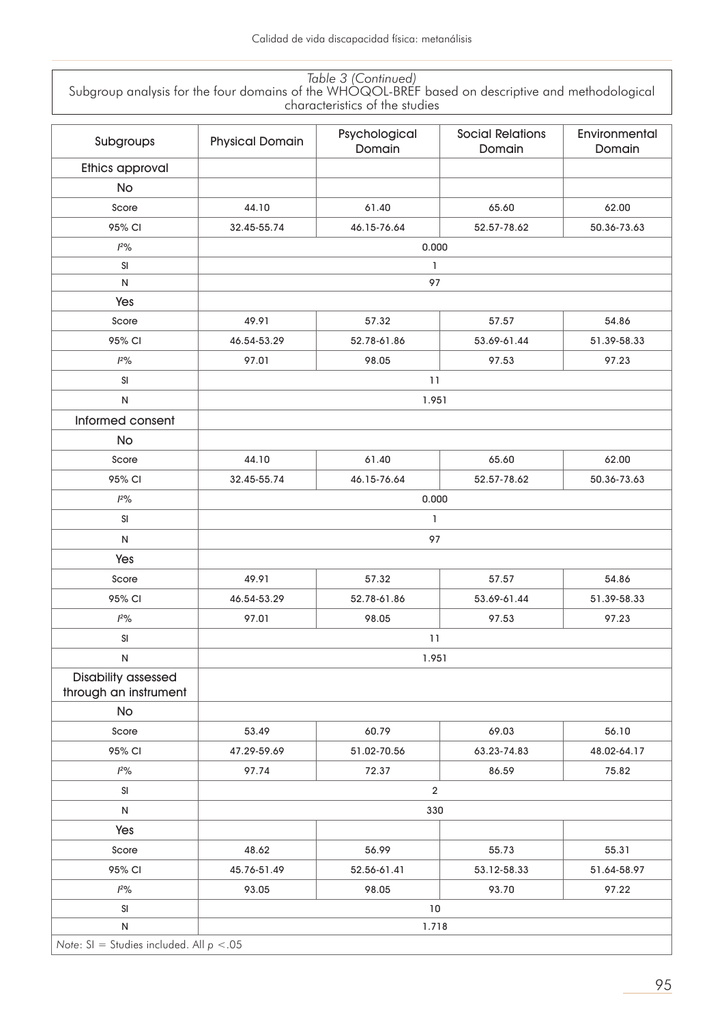| Table 3 (Continued)                                                                               |
|---------------------------------------------------------------------------------------------------|
| Subgroup analysis for the four domains of the WHOQOL-BREF based on descriptive and methodological |
| characteristics of the studies                                                                    |

| Subgroups                                           | <b>Physical Domain</b> | Psychological<br>Domain | <b>Social Relations</b><br>Domain | Environmental<br>Domain |  |  |
|-----------------------------------------------------|------------------------|-------------------------|-----------------------------------|-------------------------|--|--|
| Ethics approval                                     |                        |                         |                                   |                         |  |  |
| <b>No</b>                                           |                        |                         |                                   |                         |  |  |
| Score                                               | 44.10                  | 61.40                   | 65.60                             | 62.00                   |  |  |
| 95% CI                                              | 32.45-55.74            | 46.15-76.64             | 52.57-78.62                       | 50.36-73.63             |  |  |
| $12\%$                                              |                        | 0.000                   |                                   |                         |  |  |
| SI                                                  | 1                      |                         |                                   |                         |  |  |
| N                                                   |                        | 97                      |                                   |                         |  |  |
| Yes                                                 |                        |                         |                                   |                         |  |  |
| Score                                               | 49.91                  | 57.32                   | 57.57                             | 54.86                   |  |  |
| 95% CI                                              | 46.54-53.29            | 52.78-61.86             | 53.69-61.44                       | 51.39-58.33             |  |  |
| 12%                                                 | 97.01                  | 98.05                   | 97.53                             | 97.23                   |  |  |
| SI                                                  |                        | 11                      |                                   |                         |  |  |
| N                                                   |                        | 1.951                   |                                   |                         |  |  |
| Informed consent                                    |                        |                         |                                   |                         |  |  |
| <b>No</b>                                           |                        |                         |                                   |                         |  |  |
| Score                                               | 44.10                  | 61.40                   | 65.60                             | 62.00                   |  |  |
| 95% CI                                              | 32.45-55.74            | 46.15-76.64             | 52.57-78.62                       | 50.36-73.63             |  |  |
| $12\%$                                              |                        | 0.000                   |                                   |                         |  |  |
| SI                                                  |                        | 1                       |                                   |                         |  |  |
| ${\sf N}$                                           |                        | 97                      |                                   |                         |  |  |
| Yes                                                 |                        |                         |                                   |                         |  |  |
| Score                                               | 49.91                  | 57.32                   | 57.57                             | 54.86                   |  |  |
| 95% CI                                              | 46.54-53.29            | 52.78-61.86             | 53.69-61.44                       | 51.39-58.33             |  |  |
| $12\%$                                              | 97.01                  | 98.05                   | 97.53                             | 97.23                   |  |  |
| $\mathsf{SI}$                                       |                        | 11                      |                                   |                         |  |  |
| N                                                   |                        | 1.951                   |                                   |                         |  |  |
| <b>Disability assessed</b><br>through an instrument |                        |                         |                                   |                         |  |  |
| <b>No</b>                                           |                        |                         |                                   |                         |  |  |
| Score                                               | 53.49                  | 60.79                   | 69.03                             | 56.10                   |  |  |
| 95% CI                                              | 47.29-59.69            | 51.02-70.56             | 63.23-74.83                       | 48.02-64.17             |  |  |
| $12\%$                                              | 97.74                  | 72.37                   | 86.59                             | 75.82                   |  |  |
| SI                                                  |                        | $\overline{2}$          |                                   |                         |  |  |
| N                                                   |                        | 330                     |                                   |                         |  |  |
| Yes                                                 |                        |                         |                                   |                         |  |  |
| Score                                               | 48.62                  | 56.99                   | 55.73                             | 55.31                   |  |  |
| 95% CI                                              | 45.76-51.49            | 52.56-61.41             | 53.12-58.33                       | 51.64-58.97             |  |  |
| 12%                                                 | 93.05                  | 98.05                   | 93.70                             | 97.22                   |  |  |
| SI                                                  |                        | $10$                    |                                   |                         |  |  |
| ${\sf N}$                                           |                        | 1.718                   |                                   |                         |  |  |
| Note: $SI = Studies included. All p < .05$          |                        |                         |                                   |                         |  |  |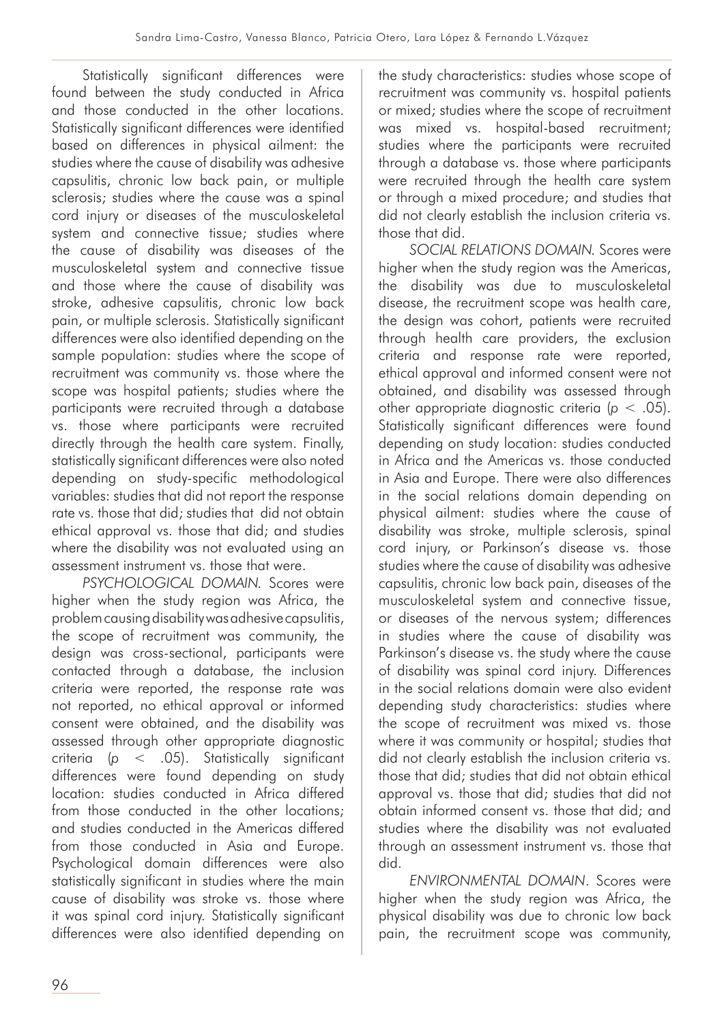Statistically significant differences were found between the study conducted in Africa and those conducted in the other locations. Statistically significant differences were identified based on differences in physical ailment: the studies where the cause of disability was adhesive capsulitis, chronic low back pain, or multiple sclerosis; studies where the cause was a spinal cord injury or diseases of the musculoskeletal system and connective tissue; studies where the cause of disability was diseases of the musculoskeletal system and connective tissue and those where the cause of disability was stroke, adhesive capsulitis, chronic low back pain, or multiple sclerosis. Statistically significant differences were also identified depending on the sample population: studies where the scope of recruitment was community vs. those where the scope was hospital patients; studies where the participants were recruited through a database vs. those where participants were recruited directly through the health care system. Finally, statistically significant differences were also noted depending on study-specific methodological variables: studies that did not report the response rate vs. those that did; studies that did not obtain ethical approval vs. those that did; and studies where the disability was not evaluated using an assessment instrument vs. those that were.

*PSYCHOLOGICAL DOMAIN.* Scores were higher when the study region was Africa, the problem causing disability was adhesive capsulitis, the scope of recruitment was community, the design was cross-sectional, participants were contacted through a database, the inclusion criteria were reported, the response rate was not reported, no ethical approval or informed consent were obtained, and the disability was assessed through other appropriate diagnostic criteria (*p* < .05). Statistically significant differences were found depending on study location: studies conducted in Africa differed from those conducted in the other locations; and studies conducted in the Americas differed from those conducted in Asia and Europe. Psychological domain differences were also statistically significant in studies where the main cause of disability was stroke vs. those where it was spinal cord injury. Statistically significant differences were also identified depending on the study characteristics: studies whose scope of recruitment was community vs. hospital patients or mixed; studies where the scope of recruitment was mixed vs. hospital-based recruitment; studies where the participants were recruited through a database vs. those where participants were recruited through the health care system or through a mixed procedure; and studies that did not clearly establish the inclusion criteria vs. those that did.

*SOCIAL RELATIONS DOMAIN.* Scores were higher when the study region was the Americas, the disability was due to musculoskeletal disease, the recruitment scope was health care, the design was cohort, patients were recruited through health care providers, the exclusion criteria and response rate were reported, ethical approval and informed consent were not obtained, and disability was assessed through other appropriate diagnostic criteria (*p* < .05). Statistically significant differences were found depending on study location: studies conducted in Africa and the Americas vs. those conducted in Asia and Europe. There were also differences in the social relations domain depending on physical ailment: studies where the cause of disability was stroke, multiple sclerosis, spinal cord injury, or Parkinson's disease vs. those studies where the cause of disability was adhesive capsulitis, chronic low back pain, diseases of the musculoskeletal system and connective tissue, or diseases of the nervous system; differences in studies where the cause of disability was Parkinson's disease vs. the study where the cause of disability was spinal cord injury. Differences in the social relations domain were also evident depending study characteristics: studies where the scope of recruitment was mixed vs. those where it was community or hospital; studies that did not clearly establish the inclusion criteria vs. those that did; studies that did not obtain ethical approval vs. those that did; studies that did not obtain informed consent vs. those that did; and studies where the disability was not evaluated through an assessment instrument vs. those that did.

*ENVIRONMENTAL DOMAIN*. Scores were higher when the study region was Africa, the physical disability was due to chronic low back pain, the recruitment scope was community,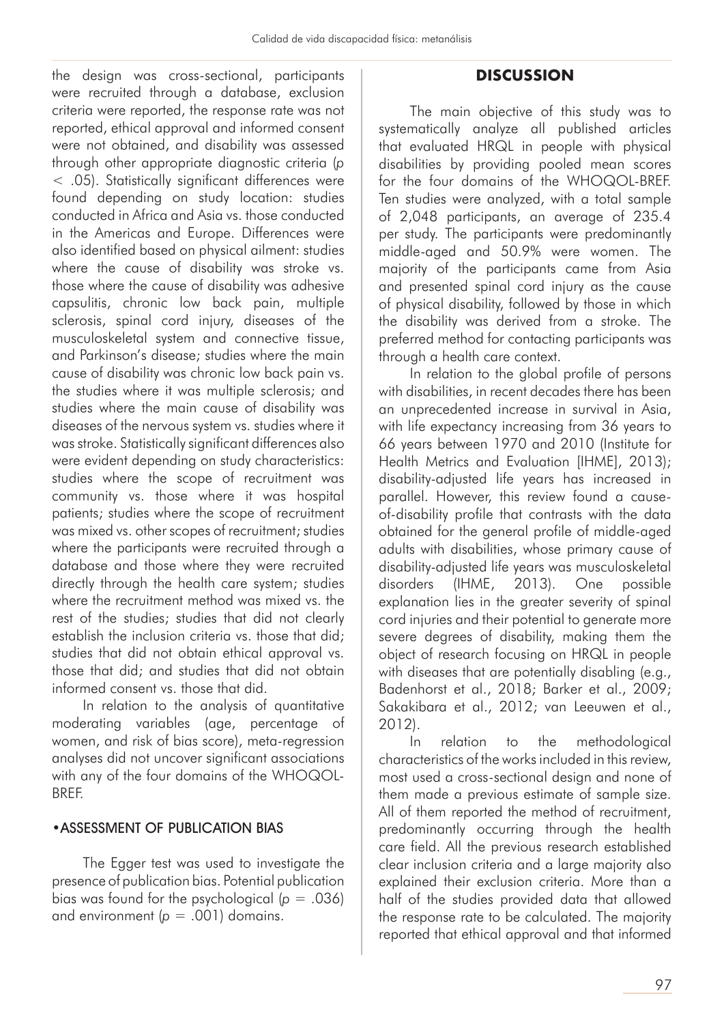the design was cross-sectional, participants were recruited through a database, exclusion criteria were reported, the response rate was not reported, ethical approval and informed consent were not obtained, and disability was assessed through other appropriate diagnostic criteria (*p* < .05). Statistically significant differences were found depending on study location: studies conducted in Africa and Asia vs. those conducted in the Americas and Europe. Differences were also identified based on physical ailment: studies where the cause of disability was stroke vs. those where the cause of disability was adhesive capsulitis, chronic low back pain, multiple sclerosis, spinal cord injury, diseases of the musculoskeletal system and connective tissue, and Parkinson's disease; studies where the main cause of disability was chronic low back pain vs. the studies where it was multiple sclerosis; and studies where the main cause of disability was diseases of the nervous system vs. studies where it was stroke. Statistically significant differences also were evident depending on study characteristics: studies where the scope of recruitment was community vs. those where it was hospital patients; studies where the scope of recruitment was mixed vs. other scopes of recruitment; studies where the participants were recruited through a database and those where they were recruited directly through the health care system; studies where the recruitment method was mixed vs. the rest of the studies; studies that did not clearly establish the inclusion criteria vs. those that did; studies that did not obtain ethical approval vs. those that did; and studies that did not obtain informed consent vs. those that did.

In relation to the analysis of quantitative moderating variables (age, percentage of women, and risk of bias score), meta-regression analyses did not uncover significant associations with any of the four domains of the WHOQOL-**BRFF** 

## •ASSESSMENT OF PUBLICATION BIAS

The Egger test was used to investigate the presence of publication bias. Potential publication bias was found for the psychological  $(p = .036)$ and environment  $(p = .001)$  domains.

## **DISCUSSION**

The main objective of this study was to systematically analyze all published articles that evaluated HRQL in people with physical disabilities by providing pooled mean scores for the four domains of the WHOQOL-BREF. Ten studies were analyzed, with a total sample of 2,048 participants, an average of 235.4 per study. The participants were predominantly middle-aged and 50.9% were women. The majority of the participants came from Asia and presented spinal cord injury as the cause of physical disability, followed by those in which the disability was derived from a stroke. The preferred method for contacting participants was through a health care context.

In relation to the global profile of persons with disabilities, in recent decades there has been an unprecedented increase in survival in Asia, with life expectancy increasing from 36 years to 66 years between 1970 and 2010 (Institute for Health Metrics and Evaluation [IHME], 2013); disability-adjusted life years has increased in parallel. However, this review found a causeof-disability profile that contrasts with the data obtained for the general profile of middle-aged adults with disabilities, whose primary cause of disability-adjusted life years was musculoskeletal disorders (IHME, 2013). One possible explanation lies in the greater severity of spinal cord injuries and their potential to generate more severe degrees of disability, making them the object of research focusing on HRQL in people with diseases that are potentially disabling (e.g., Badenhorst et al., 2018; Barker et al., 2009; Sakakibara et al., 2012; van Leeuwen et al., 2012).

In relation to the methodological characteristics of the works included in this review, most used a cross-sectional design and none of them made a previous estimate of sample size. All of them reported the method of recruitment, predominantly occurring through the health care field. All the previous research established clear inclusion criteria and a large majority also explained their exclusion criteria. More than a half of the studies provided data that allowed the response rate to be calculated. The majority reported that ethical approval and that informed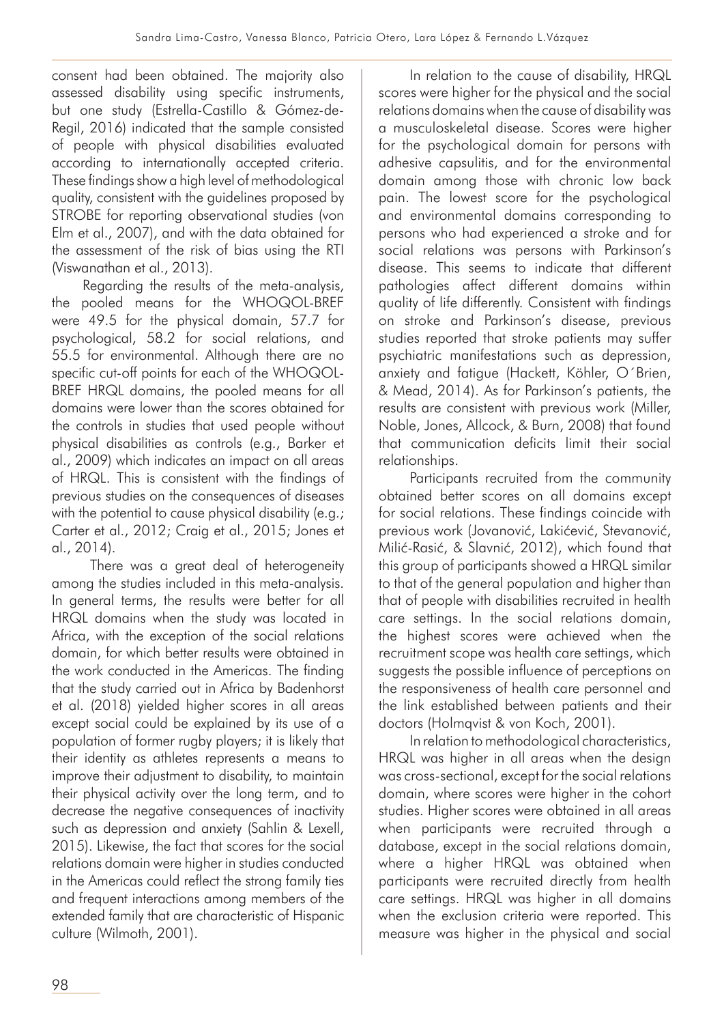consent had been obtained. The majority also assessed disability using specific instruments, but one study (Estrella-Castillo & Gómez-de-Regil, 2016) indicated that the sample consisted of people with physical disabilities evaluated according to internationally accepted criteria. These findings show a high level of methodological quality, consistent with the guidelines proposed by STROBE for reporting observational studies (von Elm et al., 2007), and with the data obtained for the assessment of the risk of bias using the RTI (Viswanathan et al., 2013).

Regarding the results of the meta-analysis, the pooled means for the WHOQOL-BREF were 49.5 for the physical domain, 57.7 for psychological, 58.2 for social relations, and 55.5 for environmental. Although there are no specific cut-off points for each of the WHOQOL-BREF HRQL domains, the pooled means for all domains were lower than the scores obtained for the controls in studies that used people without physical disabilities as controls (e.g., Barker et al., 2009) which indicates an impact on all areas of HRQL. This is consistent with the findings of previous studies on the consequences of diseases with the potential to cause physical disability (e.g.; Carter et al., 2012; Craig et al., 2015; Jones et al., 2014).

 There was a great deal of heterogeneity among the studies included in this meta-analysis. In general terms, the results were better for all HRQL domains when the study was located in Africa, with the exception of the social relations domain, for which better results were obtained in the work conducted in the Americas. The finding that the study carried out in Africa by Badenhorst et al. (2018) yielded higher scores in all areas except social could be explained by its use of a population of former rugby players; it is likely that their identity as athletes represents a means to improve their adjustment to disability, to maintain their physical activity over the long term, and to decrease the negative consequences of inactivity such as depression and anxiety (Sahlin & Lexell, 2015). Likewise, the fact that scores for the social relations domain were higher in studies conducted in the Americas could reflect the strong family ties and frequent interactions among members of the extended family that are characteristic of Hispanic culture (Wilmoth, 2001).

In relation to the cause of disability, HRQL scores were higher for the physical and the social relations domains when the cause of disability was a musculoskeletal disease. Scores were higher for the psychological domain for persons with adhesive capsulitis, and for the environmental domain among those with chronic low back pain. The lowest score for the psychological and environmental domains corresponding to persons who had experienced a stroke and for social relations was persons with Parkinson's disease. This seems to indicate that different pathologies affect different domains within quality of life differently. Consistent with findings on stroke and Parkinson's disease, previous studies reported that stroke patients may suffer psychiatric manifestations such as depression, anxiety and fatigue (Hackett, Köhler, O´Brien, & Mead, 2014). As for Parkinson's patients, the results are consistent with previous work (Miller, Noble, Jones, Allcock, & Burn, 2008) that found that communication deficits limit their social relationships.

Participants recruited from the community obtained better scores on all domains except for social relations. These findings coincide with previous work (Jovanović, Lakićević, Stevanović, Milić-Rasić, & Slavnić, 2012), which found that this group of participants showed a HRQL similar to that of the general population and higher than that of people with disabilities recruited in health care settings. In the social relations domain, the highest scores were achieved when the recruitment scope was health care settings, which suggests the possible influence of perceptions on the responsiveness of health care personnel and the link established between patients and their doctors (Holmqvist & von Koch, 2001).

In relation to methodological characteristics, HRQL was higher in all areas when the design was cross-sectional, except for the social relations domain, where scores were higher in the cohort studies. Higher scores were obtained in all areas when participants were recruited through a database, except in the social relations domain, where a higher HRQL was obtained when participants were recruited directly from health care settings. HRQL was higher in all domains when the exclusion criteria were reported. This measure was higher in the physical and social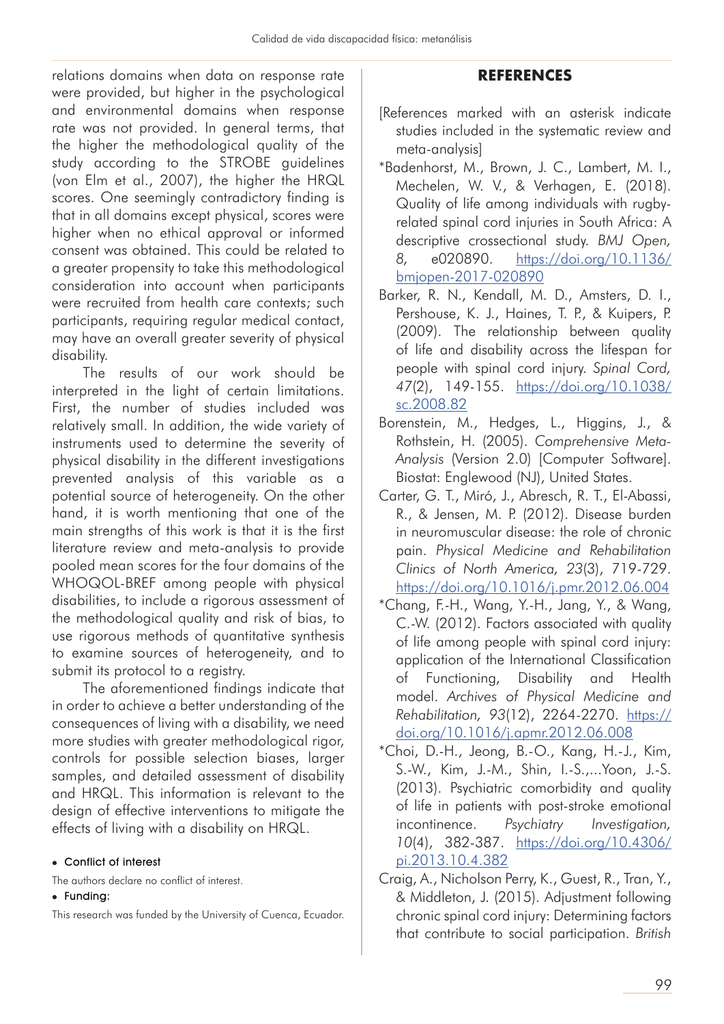relations domains when data on response rate were provided, but higher in the psychological and environmental domains when response rate was not provided. In general terms, that the higher the methodological quality of the study according to the STROBE guidelines (von Elm et al., 2007), the higher the HRQL scores. One seemingly contradictory finding is that in all domains except physical, scores were higher when no ethical approval or informed consent was obtained. This could be related to a greater propensity to take this methodological consideration into account when participants were recruited from health care contexts; such participants, requiring regular medical contact, may have an overall greater severity of physical disability.

The results of our work should be interpreted in the light of certain limitations. First, the number of studies included was relatively small. In addition, the wide variety of instruments used to determine the severity of physical disability in the different investigations prevented analysis of this variable as a potential source of heterogeneity. On the other hand, it is worth mentioning that one of the main strengths of this work is that it is the first literature review and meta-analysis to provide pooled mean scores for the four domains of the WHOQOL-BREF among people with physical disabilities, to include a rigorous assessment of the methodological quality and risk of bias, to use rigorous methods of quantitative synthesis to examine sources of heterogeneity, and to submit its protocol to a registry.

The aforementioned findings indicate that in order to achieve a better understanding of the consequences of living with a disability, we need more studies with greater methodological rigor, controls for possible selection biases, larger samples, and detailed assessment of disability and HRQL. This information is relevant to the design of effective interventions to mitigate the effects of living with a disability on HRQL.

• Conflict of interest

The authors declare no conflict of interest.

#### • Funding:

This research was funded by the University of Cuenca, Ecuador.

## **REFERENCES**

- [References marked with an asterisk indicate studies included in the systematic review and meta-analysis]
- \*Badenhorst, M., Brown, J. C., Lambert, M. I., Mechelen, W. V., & Verhagen, E. (2018). Quality of life among individuals with rugbyrelated spinal cord injuries in South Africa: A descriptive crossectional study. *BMJ Open, 8,* e020890. https://doi.org/10.1136/ bmjopen-2017-020890
- Barker, R. N., Kendall, M. D., Amsters, D. I., Pershouse, K. J., Haines, T. P., & Kuipers, P. (2009). The relationship between quality of life and disability across the lifespan for people with spinal cord injury. *Spinal Cord, 47*(2), 149-155. https://doi.org/10.1038/ sc.2008.82
- Borenstein, M., Hedges, L., Higgins, J., & Rothstein, H. (2005). *Comprehensive Meta-Analysis* (Version 2.0) [Computer Software]. Biostat: Englewood (NJ), United States.
- Carter, G. T., Miró, J., Abresch, R. T., El-Abassi, R., & Jensen, M. P. (2012). Disease burden in neuromuscular disease: the role of chronic pain. *Physical Medicine and Rehabilitation Clinics of North America, 23*(3), 719-729. https://doi.org/10.1016/j.pmr.2012.06.004
- \*Chang, F.-H., Wang, Y.-H., Jang, Y., & Wang, C.-W. (2012). Factors associated with quality of life among people with spinal cord injury: application of the International Classification of Functioning, Disability and Health model. *Archives of Physical Medicine and Rehabilitation, 93*(12), 2264-2270. https:// doi.org/10.1016/j.apmr.2012.06.008
- \*Choi, D.-H., Jeong, B.-O., Kang, H.-J., Kim, S.-W., Kim, J.-M., Shin, I.-S.,...Yoon, J.-S. (2013). Psychiatric comorbidity and quality of life in patients with post-stroke emotional incontinence. *Psychiatry Investigation, 10*(4), 382-387. https://doi.org/10.4306/ pi.2013.10.4.382
- Craig, A., Nicholson Perry, K., Guest, R., Tran, Y., & Middleton, J. (2015). Adjustment following chronic spinal cord injury: Determining factors that contribute to social participation. *British*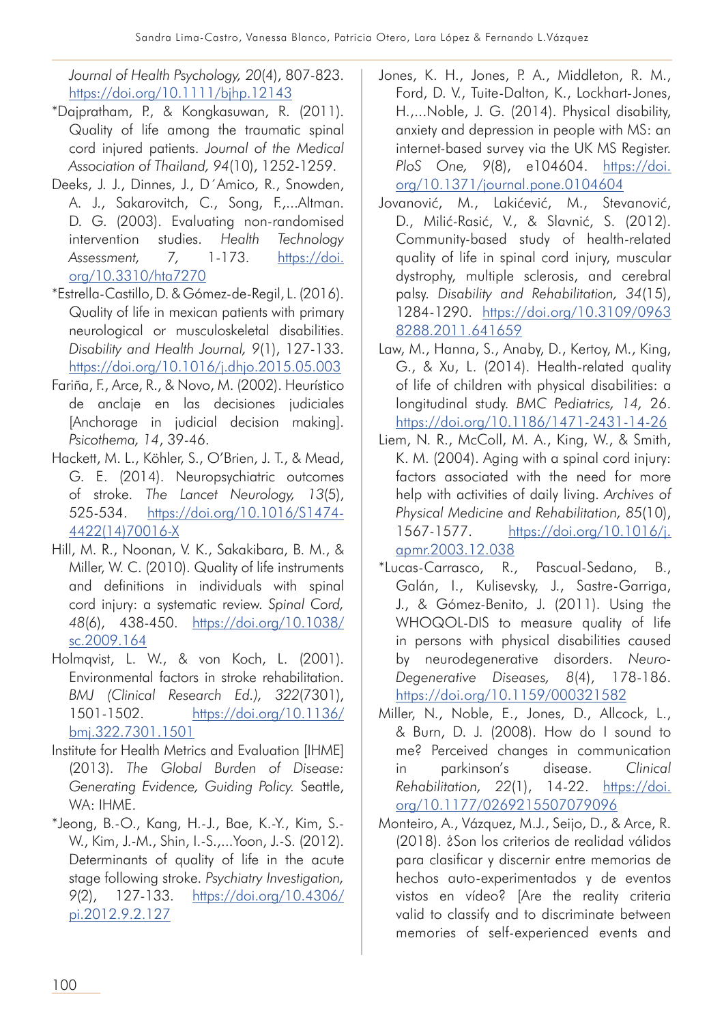*Journal of Health Psychology, 20*(4), 807-823. https://doi.org/10.1111/bjhp.12143

- \*Dajpratham, P., & Kongkasuwan, R. (2011). Quality of life among the traumatic spinal cord injured patients. *Journal of the Medical Association of Thailand, 94*(10), 1252-1259.
- Deeks, J. J., Dinnes, J., D´Amico, R., Snowden, A. J., Sakarovitch, C., Song, F.,...Altman. D. G. (2003). Evaluating non-randomised intervention studies. *Health Technology Assessment, 7,* 1-173. https://doi. org/10.3310/hta7270
- \*Estrella-Castillo, D. & Gómez-de-Regil, L. (2016). Quality of life in mexican patients with primary neurological or musculoskeletal disabilities. *Disability and Health Journal, 9*(1), 127-133. https://doi.org/10.1016/j.dhjo.2015.05.003
- Fariña, F., Arce, R., & Novo, M. (2002). Heurístico de anclaje en las decisiones judiciales [Anchorage in judicial decision making]. *Psicothema, 14*, 39-46.
- Hackett, M. L., Köhler, S., O'Brien, J. T., & Mead, G. E. (2014). Neuropsychiatric outcomes of stroke. *The Lancet Neurology, 13*(5), 525-534. https://doi.org/10.1016/S1474- 4422(14)70016-X
- Hill, M. R., Noonan, V. K., Sakakibara, B. M., & Miller, W. C. (2010). Quality of life instruments and definitions in individuals with spinal cord injury: a systematic review. *Spinal Cord, 48*(6), 438-450. https://doi.org/10.1038/ sc.2009.164
- Holmqvist, L. W., & von Koch, L. (2001). Environmental factors in stroke rehabilitation. *BMJ (Clinical Research Ed.), 322*(7301), 1501-1502. https://doi.org/10.1136/ bmj.322.7301.1501
- Institute for Health Metrics and Evaluation [IHME] (2013). *The Global Burden of Disease: Generating Evidence, Guiding Policy.* Seattle, WA: IHME.
- \*Jeong, B.-O., Kang, H.-J., Bae, K.-Y., Kim, S.- W., Kim, J.-M., Shin, I.-S.,...Yoon, J.-S. (2012). Determinants of quality of life in the acute stage following stroke. *Psychiatry Investigation, 9*(2), 127-133. https://doi.org/10.4306/ pi.2012.9.2.127
- Jones, K. H., Jones, P. A., Middleton, R. M., Ford, D. V., Tuite-Dalton, K., Lockhart-Jones, H.,...Noble, J. G. (2014). Physical disability, anxiety and depression in people with MS: an internet-based survey via the UK MS Register. *PloS One, 9*(8), e104604. https://doi. org/10.1371/journal.pone.0104604
- Jovanović, M., Lakićević, M., Stevanović, D., Milić-Rasić, V., & Slavnić, S. (2012). Community-based study of health-related quality of life in spinal cord injury, muscular dystrophy, multiple sclerosis, and cerebral palsy. *Disability and Rehabilitation, 34*(15), 1284-1290. https://doi.org/10.3109/0963 8288.2011.641659
- Law, M., Hanna, S., Anaby, D., Kertoy, M., King, G., & Xu, L. (2014). Health-related quality of life of children with physical disabilities: a longitudinal study. *BMC Pediatrics, 14,* 26. https://doi.org/10.1186/1471-2431-14-26
- Liem, N. R., McColl, M. A., King, W., & Smith, K. M. (2004). Aging with a spinal cord injury: factors associated with the need for more help with activities of daily living. *Archives of Physical Medicine and Rehabilitation, 85*(10), 1567-1577. https://doi.org/10.1016/j. apmr.2003.12.038
- \*Lucas-Carrasco, R., Pascual-Sedano, B., Galán, I., Kulisevsky, J., Sastre-Garriga, J., & Gómez-Benito, J. (2011). Using the WHOQOL-DIS to measure quality of life in persons with physical disabilities caused by neurodegenerative disorders. *Neuro-Degenerative Diseases, 8*(4), 178-186. https://doi.org/10.1159/000321582
- Miller, N., Noble, E., Jones, D., Allcock, L., & Burn, D. J. (2008). How do I sound to me? Perceived changes in communication in parkinson's disease. *Clinical Rehabilitation, 22*(1), 14-22. https://doi. org/10.1177/0269215507079096
- Monteiro, A., Vázquez, M.J., Seijo, D., & Arce, R. (2018). ¿Son los criterios de realidad válidos para clasificar y discernir entre memorias de hechos auto-experimentados y de eventos vistos en vídeo? [Are the reality criteria valid to classify and to discriminate between memories of self-experienced events and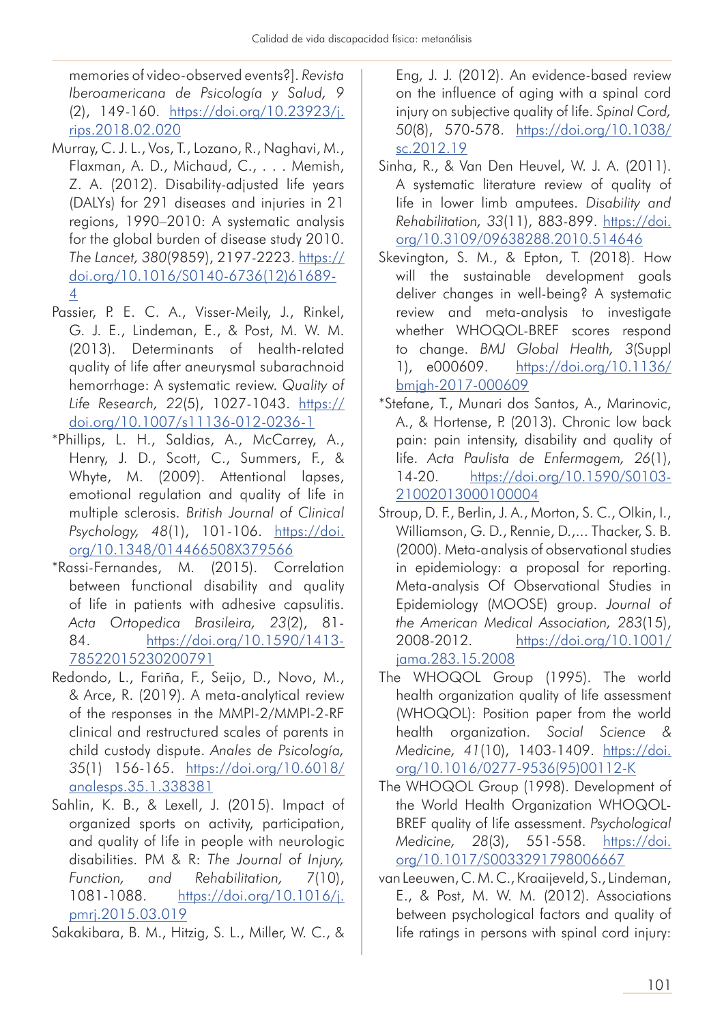memories of video-observed events?]. *Revista Iberoamericana de Psicología y Salud, 9* (2), 149-160. https://doi.org/10.23923/j. rips.2018.02.020

- Murray, C. J. L., Vos, T., Lozano, R., Naghavi, M., Flaxman, A. D., Michaud, C., . . . Memish, Z. A. (2012). Disability-adjusted life years (DALYs) for 291 diseases and injuries in 21 regions, 1990–2010: A systematic analysis for the global burden of disease study 2010. *The Lancet, 380*(9859), 2197-2223. https:// doi.org/10.1016/S0140-6736(12)61689- 4
- Passier, P. E. C. A., Visser-Meily, J., Rinkel, G. J. E., Lindeman, E., & Post, M. W. M. (2013). Determinants of health-related quality of life after aneurysmal subarachnoid hemorrhage: A systematic review. *Quality of Life Research, 22*(5), 1027-1043. https:// doi.org/10.1007/s11136-012-0236-1
- \*Phillips, L. H., Saldias, A., McCarrey, A., Henry, J. D., Scott, C., Summers, F., & Whyte, M. (2009). Attentional lapses, emotional regulation and quality of life in multiple sclerosis. *British Journal of Clinical Psychology, 48*(1), 101-106. https://doi. org/10.1348/014466508X379566
- \*Rassi-Fernandes, M. (2015). Correlation between functional disability and quality of life in patients with adhesive capsulitis. *Acta Ortopedica Brasileira, 23*(2), 81- 84. https://doi.org/10.1590/1413- 78522015230200791
- Redondo, L., Fariña, F., Seijo, D., Novo, M., & Arce, R. (2019). A meta-analytical review of the responses in the MMPI-2/MMPI-2-RF clinical and restructured scales of parents in child custody dispute. *Anales de Psicología, 35*(1) 156-165. https://doi.org/10.6018/ analesps.35.1.338381
- Sahlin, K. B., & Lexell, J. (2015). Impact of organized sports on activity, participation, and quality of life in people with neurologic disabilities. PM & R: *The Journal of Injury, Function, and Rehabilitation, 7*(10), 1081-1088. https://doi.org/10.1016/j. pmrj.2015.03.019

Sakakibara, B. M., Hitzig, S. L., Miller, W. C., &

Eng, J. J. (2012). An evidence-based review on the influence of aging with a spinal cord injury on subjective quality of life. *Spinal Cord, 50*(8), 570-578. https://doi.org/10.1038/ sc.2012.19

- Sinha, R., & Van Den Heuvel, W. J. A. (2011). A systematic literature review of quality of life in lower limb amputees. *Disability and Rehabilitation, 33*(11), 883-899. https://doi. org/10.3109/09638288.2010.514646
- Skevington, S. M., & Epton, T. (2018). How will the sustainable development goals deliver changes in well-being? A systematic review and meta-analysis to investigate whether WHOQOL-BREF scores respond to change. *BMJ Global Health, 3*(Suppl 1), e000609. https://doi.org/10.1136/ bmjgh-2017-000609
- \*Stefane, T., Munari dos Santos, A., Marinovic, A., & Hortense, P. (2013). Chronic low back pain: pain intensity, disability and quality of life. *Acta Paulista de Enfermagem, 26*(1), 14-20. https://doi.org/10.1590/S0103- 21002013000100004
- Stroup, D. F., Berlin, J. A., Morton, S. C., Olkin, I., Williamson, G. D., Rennie, D.,... Thacker, S. B. (2000). Meta-analysis of observational studies in epidemiology: a proposal for reporting. Meta-analysis Of Observational Studies in Epidemiology (MOOSE) group. *Journal of the American Medical Association, 283*(15), 2008-2012. https://doi.org/10.1001/ jama.283.15.2008
- The WHOQOL Group (1995). The world health organization quality of life assessment (WHOQOL): Position paper from the world health organization. *Social Science & Medicine, 41*(10), 1403-1409. https://doi. org/10.1016/0277-9536(95)00112-K
- The WHOQOL Group (1998). Development of the World Health Organization WHOQOL-BREF quality of life assessment. *Psychological Medicine, 28*(3), 551-558. https://doi. org/10.1017/S0033291798006667
- van Leeuwen, C. M. C., Kraaijeveld, S., Lindeman, E., & Post, M. W. M. (2012). Associations between psychological factors and quality of life ratings in persons with spinal cord injury: